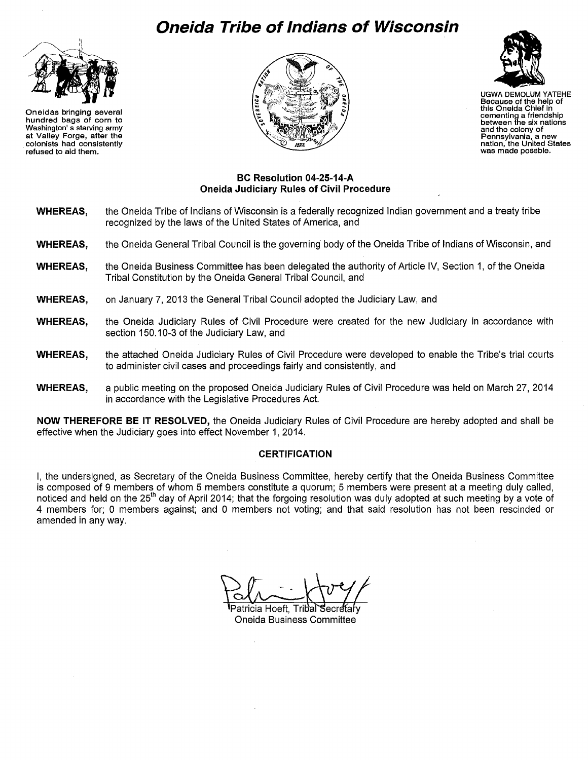# **Oneida Tribe of Indians of Wisconsin**



Oneidas bringing several hundred bags of corn to Washington' s starving army at Valley Forge, after the colonists had consistently refused to aid them.





UGWA DEMOLUM YATEHE Because of the help of this Oneida Chief In cementing a friendship between the six nations and the colony of<br>Pennsylvania, a new nation, the United States<br>was made possble.

#### **BC Resolution 04-25-14-A Oneida Judiciary Rules of Civil Procedure**

- **WHEREAS,**  the Oneida Tribe of Indians of Wisconsin is a federally recognized Indian government and a treaty tribe recognized by the laws of the United States of America, and
- **WHEREAS,**  the Oneida General Tribal Council is the governing body of the Oneida Tribe of Indians of Wisconsin, and
- **WHEREAS,**  the Oneida Business Committee has been delegated the authority of Article IV, Section 1, of the Oneida Tribal Constitution by the Oneida General Tribal Council, and
- **WHEREAS,**  on January 7, 2013 the General Tribal Council adopted the Judiciary Law, and
- **WHEREAS,**  the Oneida Judiciary Rules of Civil Procedure were created for the new Judiciary in accordance with section 150.10-3 of the Judiciary Law, and
- **WHEREAS,**  the attached Oneida Judiciary Rules of Civil Procedure were developed to enable the Tribe's trial courts to administer civil cases and proceedings fairly and consistently, and
- **WHEREAS,**  a public meeting on the proposed Oneida Judiciary Rules of Civil Procedure was held on March 27, 2014 in accordance with the Legislative Procedures Act.

**NOW THEREFORE BE IT RESOLVED,** the Oneida Judiciary Rules of Civil Procedure are hereby adopted and shall be effective when the Judiciary goes into effect November 1, 2014.

#### **CERTIFICATION**

I, the undersigned, as Secretary of the Oneida Business Committee, hereby certify that the Oneida Business Committee is composed of 9 members of whom 5 members constitute a quorum; 5 members were present at a meeting duly called, noticed and held on the 25<sup>th</sup> day of April 2014; that the forgoing resolution was duly adopted at such meeting by a vote of 4 members for; 0 members against; and 0 members not voting; and that said resolution has not been rescinded or amended in any way.

Patricia Hoeft. Tribal **Oneida Business Committee**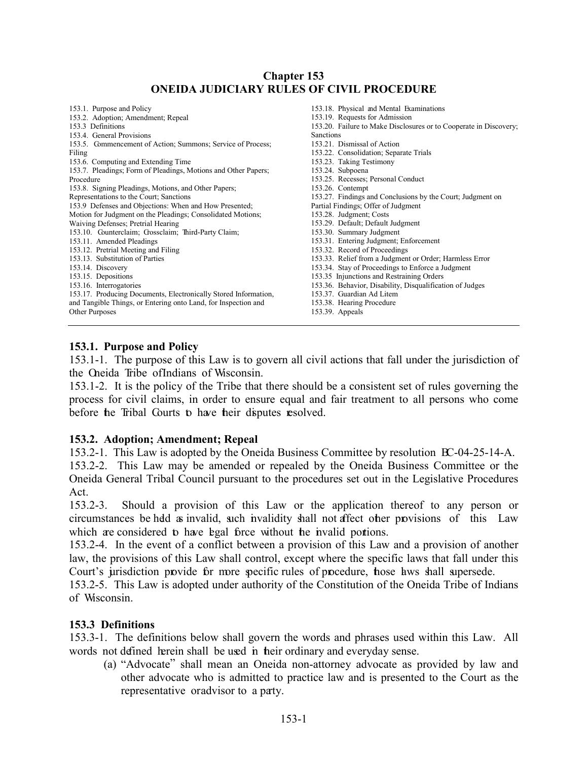# **Chapter 153 ONEIDA JUDICIARY RULES OF CIVIL PROCEDURE**

| 153.1. Purpose and Policy                                       | 153.18. Physical and Mental Examinations                          |
|-----------------------------------------------------------------|-------------------------------------------------------------------|
| 153.2. Adoption; Amendment; Repeal                              | 153.19. Requests for Admission                                    |
| 153.3 Definitions                                               | 153.20. Failure to Make Disclosures or to Cooperate in Discovery; |
| 153.4. General Provisions                                       | <b>Sanctions</b>                                                  |
| 153.5. Commencement of Action; Summons; Service of Process;     | 153.21. Dismissal of Action                                       |
| Filing                                                          | 153.22. Consolidation; Separate Trials                            |
| 153.6. Computing and Extending Time                             | 153.23. Taking Testimony                                          |
| 153.7. Pleadings; Form of Pleadings, Motions and Other Papers;  | 153.24. Subpoena                                                  |
| Procedure                                                       | 153.25. Recesses; Personal Conduct                                |
| 153.8. Signing Pleadings, Motions, and Other Papers;            | 153.26. Contempt                                                  |
| Representations to the Court; Sanctions                         | 153.27. Findings and Conclusions by the Court; Judgment on        |
| 153.9 Defenses and Objections: When and How Presented;          | Partial Findings; Offer of Judgment                               |
| Motion for Judgment on the Pleadings; Consolidated Motions;     | 153.28. Judgment; Costs                                           |
| Waiving Defenses; Pretrial Hearing                              | 153.29. Default; Default Judgment                                 |
| 153.10. Counterclaim; Crossclaim; Third-Party Claim;            | 153.30. Summary Judgment                                          |
| 153.11. Amended Pleadings                                       | 153.31. Entering Judgment; Enforcement                            |
| 153.12. Pretrial Meeting and Filing                             | 153.32. Record of Proceedings                                     |
| 153.13. Substitution of Parties                                 | 153.33. Relief from a Judgment or Order; Harmless Error           |
| 153.14. Discovery                                               | 153.34. Stay of Proceedings to Enforce a Judgment                 |
| 153.15. Depositions                                             | 153.35 Injunctions and Restraining Orders                         |
| 153.16. Interrogatories                                         | 153.36. Behavior, Disability, Disqualification of Judges          |
| 153.17. Producing Documents, Electronically Stored Information, | 153.37. Guardian Ad Litem                                         |
| and Tangible Things, or Entering onto Land, for Inspection and  | 153.38. Hearing Procedure                                         |
| Other Purposes                                                  | $153.39.$ Appeals                                                 |
|                                                                 |                                                                   |

# <span id="page-1-0"></span>**153.1. Purpose and Policy**

153.1-1. The purpose of this Law is to govern all civil actions that fall under the jurisdiction of the Oneida Tribe of Indians of Wisconsin.

153.1-2. It is the policy of the Tribe that there should be a consistent set of rules governing the process for civil claims, in order to ensure equal and fair treatment to all persons who come before the Tribal Courts to have their disputes resolved.

# <span id="page-1-1"></span>**153.2. Adoption; Amendment; Repeal**

153.2-1. This Law is adopted by the Oneida Business Committee by resolution BC-04-25-14-A.

153.2-2. This Law may be amended or repealed by the Oneida Business Committee or the Oneida General Tribal Council pursuant to the procedures set out in the Legislative Procedures Act.

153.2-3. Should a provision of this Law or the application thereof to any person or circumstances be held as invalid, such invalidity shall not affect other provisions of this Law which are considered to have legal force without the invalid portions.

153.2-4. In the event of a conflict between a provision of this Law and a provision of another law, the provisions of this Law shall control, except where the specific laws that fall under this Court's jurisdiction provide for more specific rules of procedure, hose laws shall supersede.

153.2-5. This Law is adopted under authority of the Constitution of the Oneida Tribe of Indians of Wisconsin.

#### <span id="page-1-2"></span>**153.3 Definitions**

153.3-1. The definitions below shall govern the words and phrases used within this Law. All words not defined herein shall be used in their ordinary and everyday sense.

(a) "Advocate" shall mean an Oneida non-attorney advocate as provided by law and other advocate who is admitted to practice law and is presented to the Court as the representative or advisor to a party.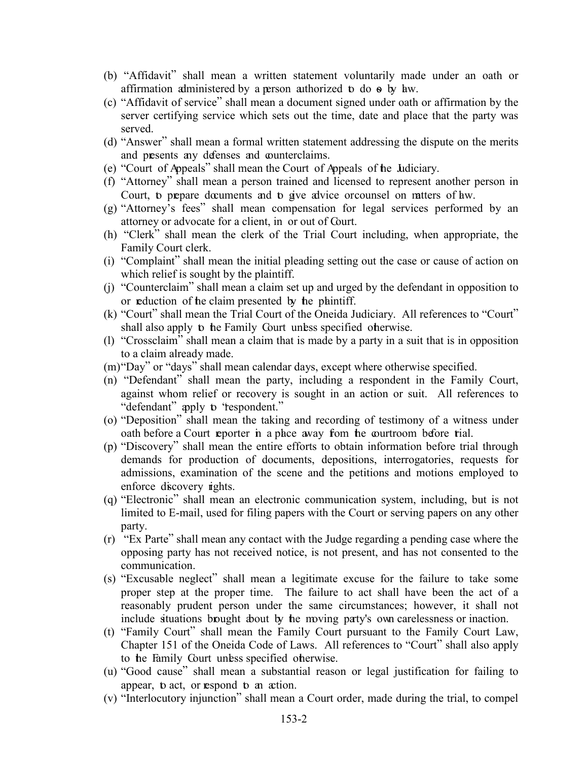- (b) "Affidavit" shall mean a written statement voluntarily made under an oath or affirmation administered by a person authorized to do so by law.
- (c) "Affidavit of service" shall mean a document signed under oath or affirmation by the server certifying service which sets out the time, date and place that the party was served.
- (d) "Answer" shall mean a formal written statement addressing the dispute on the merits and presents any defenses and counterclaims.
- (e) "Court of Appeals" shall mean the Court of Appeals of the Judiciary.
- (f) "Attorney" shall mean a person trained and licensed to represent another person in Court, to prepare documents and to give advice or counsel on ratters of have.
- (g) "Attorney's fees" shall mean compensation for legal services performed by an attorney or advocate for a client, in or out of Court.
- (h) "Clerk" shall mean the clerk of the Trial Court including, when appropriate, the Family Court clerk.
- (i) "Complaint" shall mean the initial pleading setting out the case or cause of action on which relief is sought by the plaintiff.
- (j) "Counterclaim" shall mean a claim set up and urged by the defendant in opposition to or reduction of the claim presented by the plaintiff.
- (k) "Court" shall mean the Trial Court of the Oneida Judiciary. All references to "Court" shall also apply to the Family Court unless specified otherwise.
- (l) "Crossclaim" shall mean a claim that is made by a party in a suit that is in opposition to a claim already made.
- (m)"Day" or "days" shall mean calendar days, except where otherwise specified.
- (n) "Defendant" shall mean the party, including a respondent in the Family Court, against whom relief or recovery is sought in an action or suit. All references to "defendant" apply to "respondent."
- (o) "Deposition" shall mean the taking and recording of testimony of a witness under oath before a Court reporter in a place away from the courtroom before trial.
- (p) "Discovery" shall mean the entire efforts to obtain information before trial through demands for production of documents, depositions, interrogatories, requests for admissions, examination of the scene and the petitions and motions employed to enforce discovery rights.
- (q) "Electronic" shall mean an electronic communication system, including, but is not limited to E-mail, used for filing papers with the Court or serving papers on any other party.
- (r) "Ex Parte" shall mean any contact with the Judge regarding a pending case where the opposing party has not received notice, is not present, and has not consented to the communication.
- (s) "Excusable neglect" shall mean a legitimate excuse for the failure to take some proper step at the proper time. The failure to act shall have been the act of a reasonably prudent person under the same circumstances; however, it shall not include situations brought about by the moving party's own carelessness or inaction.
- (t) "Family Court" shall mean the Family Court pursuant to the Family Court Law, Chapter 151 of the Oneida Code of Laws. All references to "Court" shall also apply to the Family Court unless specified otherwise.
- (u) "Good cause" shall mean a substantial reason or legal justification for failing to appear, **b** act, or **respond b** an action.
- (v) "Interlocutory injunction" shall mean a Court order, made during the trial, to compel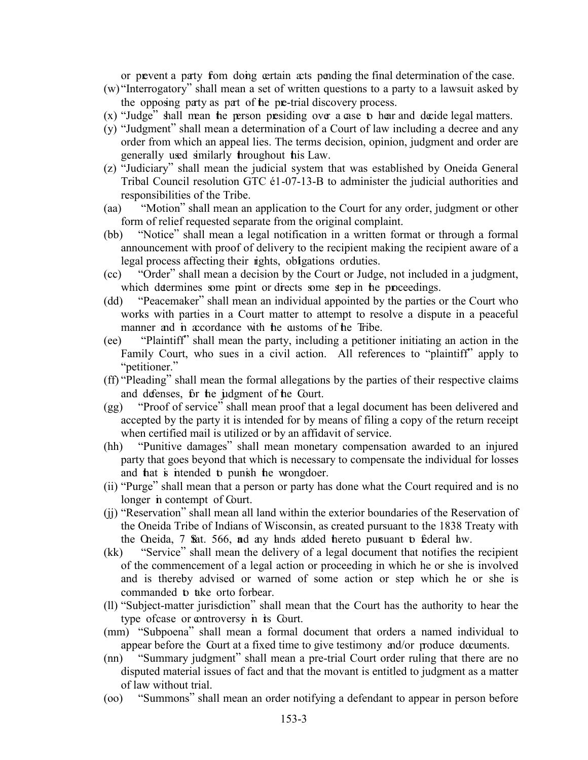or prevent a party from doing certain acts pending the final determination of the case.

- (w) "Interrogatory" shall mean a set of written questions to a party to a lawsuit asked by the opposing party as part of the pre-trial discovery process.
- $(x)$  "Judge" shall mean the person presiding over a case to hear and decide legal matters.
- (y) "Judgment" shall mean a determination of a Court of law including a decree and any order from which an appeal lies. The terms decision, opinion, judgment and order are generally used similarly throughout this Law.
- (z) "Judiciary" shall mean the judicial system that was established by Oneida General Tribal Council resolution GTC  $61-07-13-B$  to administer the judicial authorities and responsibilities of the Tribe.
- (aa) "Motion" shall mean an application to the Court for any order, judgment or other form of relief requested separate from the original complaint.
- (bb) "Notice" shall mean a legal notification in a written format or through a formal announcement with proof of delivery to the recipient making the recipient aware of a legal process affecting their rights, obligations orduties.
- (cc) "Order" shall mean a decision by the Court or Judge, not included in a judgment, which determines some point or directs some step in the proceedings.
- (dd) "Peacemaker" shall mean an individual appointed by the parties or the Court who works with parties in a Court matter to attempt to resolve a dispute in a peaceful manner and in accordance with the customs of the Tribe.
- (ee) "Plaintiff" shall mean the party, including a petitioner initiating an action in the Family Court, who sues in a civil action. All references to "plaintiff" apply to "petitioner."
- (ff) "Pleading" shall mean the formal allegations by the parties of their respective claims and defenses, for the judgment of the Court.
- (gg) "Proof of service" shall mean proof that a legal document has been delivered and accepted by the party it is intended for by means of filing a copy of the return receipt when certified mail is utilized or by an affidavit of service.
- (hh) "Punitive damages" shall mean monetary compensation awarded to an injured party that goes beyond that which is necessary to compensate the individual for losses and that is intended to punish the wrongdoer.
- (ii) "Purge" shall mean that a person or party has done what the Court required and is no longer in contempt of Court.
- (jj) "Reservation" shall mean all land within the exterior boundaries of the Reservation of the Oneida Tribe of Indians of Wisconsin, as created pursuant to the 1838 Treaty with the Oneida, 7 Stat. 566, ad any lands added thereto pursuant to federal law.
- (kk) "Service" shall mean the delivery of a legal document that notifies the recipient of the commencement of a legal action or proceeding in which he or she is involved and is thereby advised or warned of some action or step which he or she is commanded to take orto forbear.
- (ll) "Subject-matter jurisdiction" shall mean that the Court has the authority to hear the type of case or controversy in its Court.
- (mm) "Subpoena" shall mean a formal document that orders a named individual to appear before the Court at a fixed time to give testimony and/or produce documents.
- (nn) "Summary judgment" shall mean a pre-trial Court order ruling that there are no disputed material issues of fact and that the movant is entitled to judgment as a matter of law without trial.
- (oo) "Summons" shall mean an order notifying a defendant to appear in person before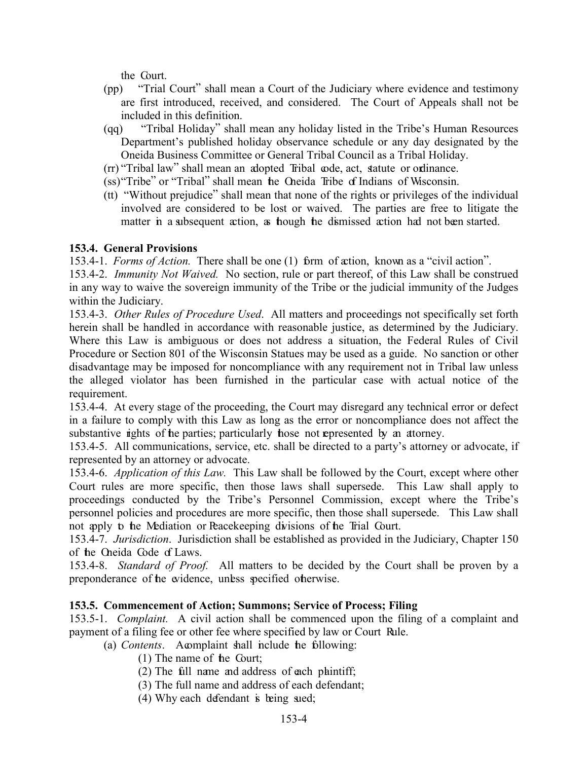the Court.

- (pp) "Trial Court" shall mean a Court of the Judiciary where evidence and testimony are first introduced, received, and considered. The Court of Appeals shall not be included in this definition.
- (qq) "Tribal Holiday" shall mean any holiday listed in the Tribe's Human Resources Department's published holiday observance schedule or any day designated by the Oneida Business Committee or General Tribal Council as a Tribal Holiday.
- (rr) "Tribal law" shall mean an adopted Tribal code, act, statute or ordinance.
- (ss)"Tribe" or "Tribal" shall mean the Oneida Tribe of Indians of Wisconsin.
- (tt) "Without prejudice" shall mean that none of the rights or privileges of the individual involved are considered to be lost or waived. The parties are free to litigate the matter in a subsequent action, as hough the dismissed action had not been started.

# <span id="page-4-0"></span>**153.4. General Provisions**

153.4-1. *Forms of Action.* There shall be one (1) form of action, known as a "civil action".

153.4-2. *Immunity Not Waived.* No section, rule or part thereof, of this Law shall be construed in any way to waive the sovereign immunity of the Tribe or the judicial immunity of the Judges within the Judiciary.

153.4-3. *Other Rules of Procedure Used*. All matters and proceedings not specifically set forth herein shall be handled in accordance with reasonable justice, as determined by the Judiciary. Where this Law is ambiguous or does not address a situation, the Federal Rules of Civil Procedure or Section 801 of the Wisconsin Statues may be used as a guide. No sanction or other disadvantage may be imposed for noncompliance with any requirement not in Tribal law unless the alleged violator has been furnished in the particular case with actual notice of the requirement.

153.4-4. At every stage of the proceeding, the Court may disregard any technical error or defect in a failure to comply with this Law as long as the error or noncompliance does not affect the substantive rights of the parties; particularly hose not represented by an attorney.

153.4-5. All communications, service, etc. shall be directed to a party's attorney or advocate, if represented by an attorney or advocate.

153.4-6. *Application of this Law.* This Law shall be followed by the Court, except where other Court rules are more specific, then those laws shall supersede. This Law shall apply to proceedings conducted by the Tribe's Personnel Commission, except where the Tribe's personnel policies and procedures are more specific, then those shall supersede. This Law shall not apply to the Mediation or Peacekeeping divisions of the Trial Court.

153.4-7. *Jurisdiction*. Jurisdiction shall be established as provided in the Judiciary, Chapter 150 of the Oneida Code of Laws.

153.4-8. *Standard of Proof.* All matters to be decided by the Court shall be proven by a preponderance of the evidence, unless specified otherwise.

# <span id="page-4-1"></span>**153.5. Commencement of Action; Summons; Service of Process; Filing**

153.5-1. *Complaint.* A civil action shall be commenced upon the filing of a complaint and payment of a filing fee or other fee where specified by law or Court Rule.

(a) *Contents*. A complaint shall include the following:

- (1) The name of the Court;
- $(2)$  The full name and address of each plaintiff;
- (3) The full name and address of each defendant;
- $(4)$  Why each defendant is being sued;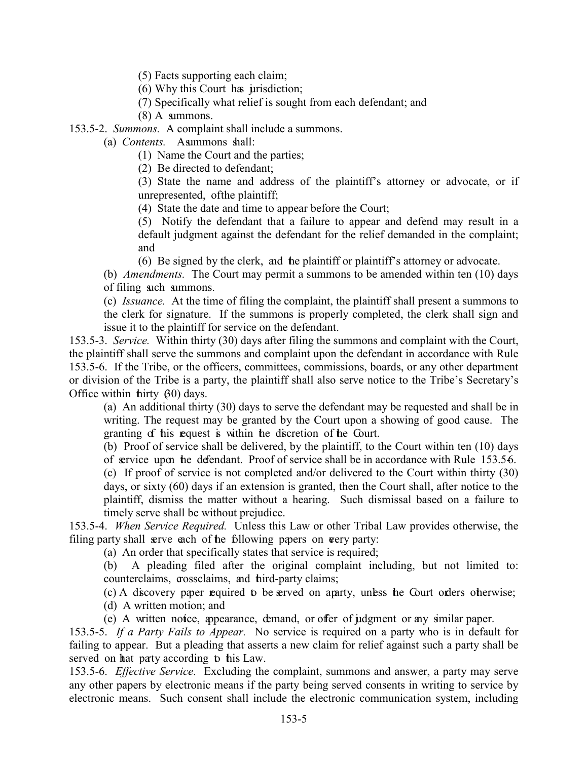(5) Facts supporting each claim;

(6) Why this Court has jurisdiction;

(7) Specifically what relief is sought from each defendant; and

(8) A summons.

153.5-2. *Summons.* A complaint shall include a summons.

(a) *Contents.* Asummons shall:

(1) Name the Court and the parties;

(2) Be directed to defendant;

(3) State the name and address of the plaintiff's attorney or advocate, or if unrepresented, of the plaintiff;

(4) State the date and time to appear before the Court;

(5) Notify the defendant that a failure to appear and defend may result in a default judgment against the defendant for the relief demanded in the complaint; and

(6) Be signed by the clerk, and the plaintiff or plaintiff's attorney or advocate.

(b) *Amendments.* The Court may permit a summons to be amended within ten (10) days of filing such summons.

(c) *Issuance.* At the time of filing the complaint, the plaintiff shall present a summons to the clerk for signature. If the summons is properly completed, the clerk shall sign and issue it to the plaintiff for service on the defendant.

153.5-3. *Service.* Within thirty (30) days after filing the summons and complaint with the Court, the plaintiff shall serve the summons and complaint upon the defendant in accordance with Rule 153.5-6. If the Tribe, or the officers, committees, commissions, boards, or any other department or division of the Tribe is a party, the plaintiff shall also serve notice to the Tribe's Secretary's Office within thirty  $(30)$  days.

(a) An additional thirty (30) days to serve the defendant may be requested and shall be in writing. The request may be granted by the Court upon a showing of good cause. The granting of this request is within the discretion of the Court.

(b) Proof of service shall be delivered, by the plaintiff, to the Court within ten (10) days of service upon the defendant. Proof of service shall be in accordance with Rule 153.5-6.

(c) If proof of service is not completed and/or delivered to the Court within thirty (30) days, or sixty (60) days if an extension is granted, then the Court shall, after notice to the plaintiff, dismiss the matter without a hearing. Such dismissal based on a failure to timely serve shall be without prejudice.

153.5-4. *When Service Required.* Unless this Law or other Tribal Law provides otherwise, the filing party shall serve each of the following papers on very party:

(a) An order that specifically states that service is required;

(b) A pleading filed after the original complaint including, but not limited to: counterclaims, crossclaims, and third-party claims;

(c) A discovery paper required to be served on a party, unless the Court orders otherwise;

(d) A written motion; and

(e) A written notice, appearance, demand, or offer of judgment or any similar paper.

153.5-5. *If a Party Fails to Appear.* No service is required on a party who is in default for failing to appear. But a pleading that asserts a new claim for relief against such a party shall be served on hat party according to his Law.

153.5-6. *Effective Service*. Excluding the complaint, summons and answer, a party may serve any other papers by electronic means if the party being served consents in writing to service by electronic means. Such consent shall include the electronic communication system, including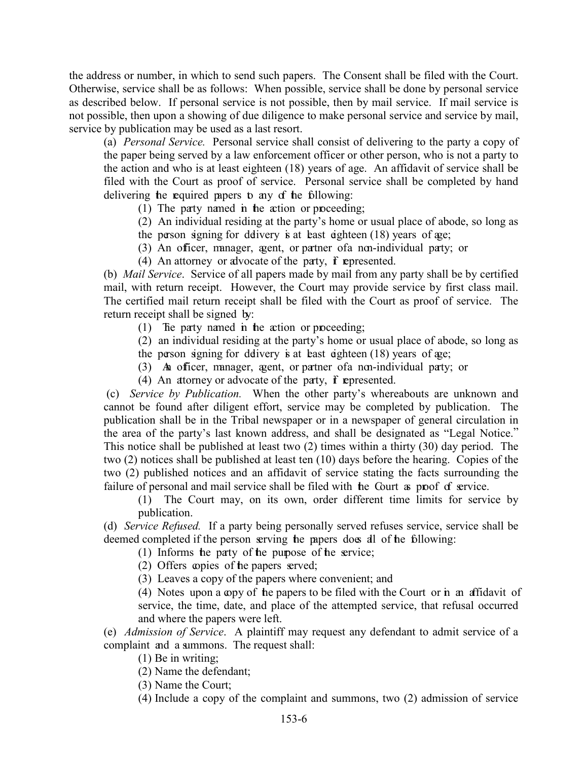the address or number, in which to send such papers. The Consent shall be filed with the Court. Otherwise, service shall be as follows: When possible, service shall be done by personal service as described below. If personal service is not possible, then by mail service. If mail service is not possible, then upon a showing of due diligence to make personal service and service by mail, service by publication may be used as a last resort.

(a) *Personal Service.* Personal service shall consist of delivering to the party a copy of the paper being served by a law enforcement officer or other person, who is not a party to the action and who is at least eighteen (18) years of age. An affidavit of service shall be filed with the Court as proof of service. Personal service shall be completed by hand delivering the required papers to any of the following:

(1) The party named in the action or proceeding;

(2) An individual residing at the party's home or usual place of abode, so long as

the person signing for delivery is at least eighteen  $(18)$  years of age;

(3) An officer, manager, agent, or partner of a non-individual party; or

(4) An attorney or alvocate of the party,  $\mathbf f$  represented.

(b) *Mail Service*. Service of all papers made by mail from any party shall be by certified mail, with return receipt. However, the Court may provide service by first class mail. The certified mail return receipt shall be filed with the Court as proof of service. The return receipt shall be signed by:

(1) The party named in the action or proceeding;

(2) an individual residing at the party's home or usual place of abode, so long as the person signing for delivery is at least eighteen  $(18)$  years of age;

(3) An officer, manager, agent, or partner of a non-individual party; or

(4) An attorney or advocate of the party,  $\mathbf f$  represented.

(c) *Service by Publication.* When the other party's whereabouts are unknown and cannot be found after diligent effort, service may be completed by publication. The publication shall be in the Tribal newspaper or in a newspaper of general circulation in the area of the party's last known address, and shall be designated as "Legal Notice." This notice shall be published at least two (2) times within a thirty (30) day period. The two (2) notices shall be published at least ten (10) days before the hearing. Copies of the two (2) published notices and an affidavit of service stating the facts surrounding the failure of personal and mail service shall be filed with the Court as proof of service.

(1) The Court may, on its own, order different time limits for service by publication.

(d) *Service Refused.* If a party being personally served refuses service, service shall be deemed completed if the person serving the papers does all of the following:

 $(1)$  Informs the party of the purpose of the service;

(2) Offers copies of the papers served;

(3) Leaves a copy of the papers where convenient; and

(4) Notes upon a copy of the papers to be filed with the Court or in an affidavit of service, the time, date, and place of the attempted service, that refusal occurred and where the papers were left.

(e) *Admission of Service*. A plaintiff may request any defendant to admit service of a complaint and a summons. The request shall:

(1) Be in writing;

(2) Name the defendant;

(3) Name the Court;

(4) Include a copy of the complaint and summons, two (2) admission of service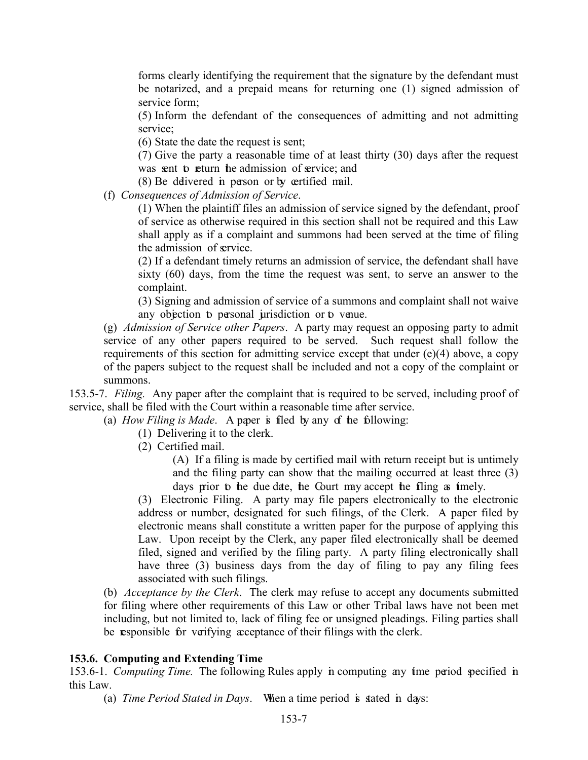forms clearly identifying the requirement that the signature by the defendant must be notarized, and a prepaid means for returning one (1) signed admission of service form;

(5) Inform the defendant of the consequences of admitting and not admitting service;

(6) State the date the request is sent;

(7) Give the party a reasonable time of at least thirty (30) days after the request was sent to return the admission of service; and

(8) Be delivered in person or by certified mail.

(f) *Consequences of Admission of Service*.

(1) When the plaintiff files an admission of service signed by the defendant, proof of service as otherwise required in this section shall not be required and this Law shall apply as if a complaint and summons had been served at the time of filing the admission of service.

(2) If a defendant timely returns an admission of service, the defendant shall have sixty (60) days, from the time the request was sent, to serve an answer to the complaint.

(3) Signing and admission of service of a summons and complaint shall not waive any objection to personal jurisdiction or to venue.

(g) *Admission of Service other Papers*. A party may request an opposing party to admit service of any other papers required to be served. Such request shall follow the requirements of this section for admitting service except that under (e)(4) above, a copy of the papers subject to the request shall be included and not a copy of the complaint or summons.

153.5-7. *Filing.* Any paper after the complaint that is required to be served, including proof of service, shall be filed with the Court within a reasonable time after service.

(a) *How Filing is Made*. A paper is filed by any of the following:

(1) Delivering it to the clerk.

(2) Certified mail.

(A) If a filing is made by certified mail with return receipt but is untimely and the filing party can show that the mailing occurred at least three (3) days prior to the due date, the Court may accept the filing as imely.

(3) Electronic Filing. A party may file papers electronically to the electronic address or number, designated for such filings, of the Clerk. A paper filed by electronic means shall constitute a written paper for the purpose of applying this Law. Upon receipt by the Clerk, any paper filed electronically shall be deemed filed, signed and verified by the filing party. A party filing electronically shall have three (3) business days from the day of filing to pay any filing fees associated with such filings.

(b) *Acceptance by the Clerk*. The clerk may refuse to accept any documents submitted for filing where other requirements of this Law or other Tribal laws have not been met including, but not limited to, lack of filing fee or unsigned pleadings. Filing parties shall be responsible for verifying acceptance of their filings with the clerk.

#### <span id="page-7-0"></span>**153.6. Computing and Extending Time**

153.6-1. *Computing Time.* The following Rules apply in computing any time period specified in this Law.

(a) *Time Period Stated in Days*. When a time period is stated in days: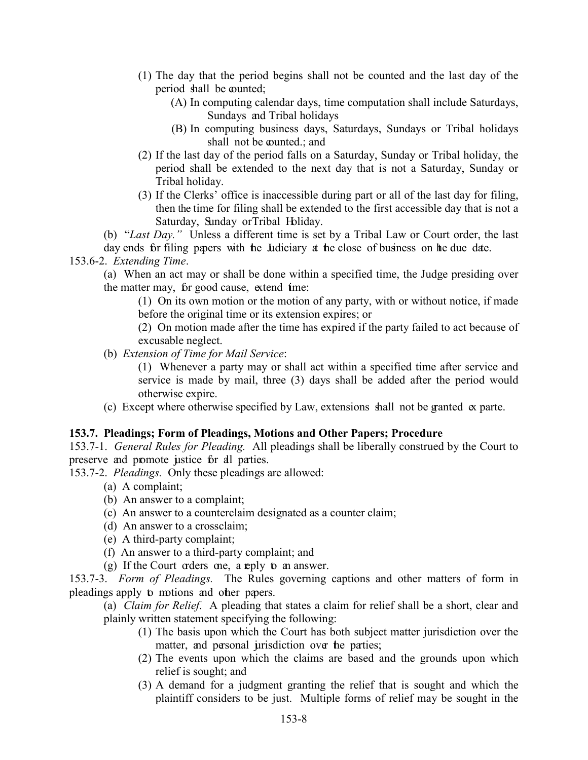- (1) The day that the period begins shall not be counted and the last day of the period shall be counted;
	- (A) In computing calendar days, time computation shall include Saturdays, Sundays and Tribal holidays
	- (B) In computing business days, Saturdays, Sundays or Tribal holidays shall not be counted.; and
- (2) If the last day of the period falls on a Saturday, Sunday or Tribal holiday, the period shall be extended to the next day that is not a Saturday, Sunday or Tribal holiday.
- (3) If the Clerks' office is inaccessible during part or all of the last day for filing, then the time for filing shall be extended to the first accessible day that is not a Saturday, Sunday or Tribal Holiday.

(b) "*Last Day."* Unless a different time is set by a Tribal Law or Court order, the last

day ends for filing papers with the Judiciary at the close of business on the due date.

# 153.6-2. *Extending Time*.

(a) When an act may or shall be done within a specified time, the Judge presiding over the matter may, for good cause, extend time:

(1) On its own motion or the motion of any party, with or without notice, if made before the original time or its extension expires; or

(2) On motion made after the time has expired if the party failed to act because of excusable neglect.

(b) *Extension of Time for Mail Service*:

(1) Whenever a party may or shall act within a specified time after service and service is made by mail, three (3) days shall be added after the period would otherwise expire.

(c) Except where otherwise specified by Law, extensions shall not be granted ex parte.

#### <span id="page-8-0"></span>**153.7. Pleadings; Form of Pleadings, Motions and Other Papers; Procedure**

153.7-1. *General Rules for Pleading.* All pleadings shall be liberally construed by the Court to preserve and promote justice for all parties.

153.7-2. *Pleadings.* Only these pleadings are allowed:

- (a) A complaint;
- (b) An answer to a complaint;
- (c) An answer to a counterclaim designated as a counter claim;
- (d) An answer to a crossclaim;
- (e) A third-party complaint;
- (f) An answer to a third-party complaint; and

(g) If the Court orders one, a reply  $\mathfrak b$  an answer.

153.7-3. *Form of Pleadings.* The Rules governing captions and other matters of form in pleadings apply to motions and other papers.

(a) *Claim for Relief*. A pleading that states a claim for relief shall be a short, clear and plainly written statement specifying the following:

- (1) The basis upon which the Court has both subject matter jurisdiction over the matter, and personal jurisdiction over the parties;
- (2) The events upon which the claims are based and the grounds upon which relief is sought; and
- (3) A demand for a judgment granting the relief that is sought and which the plaintiff considers to be just. Multiple forms of relief may be sought in the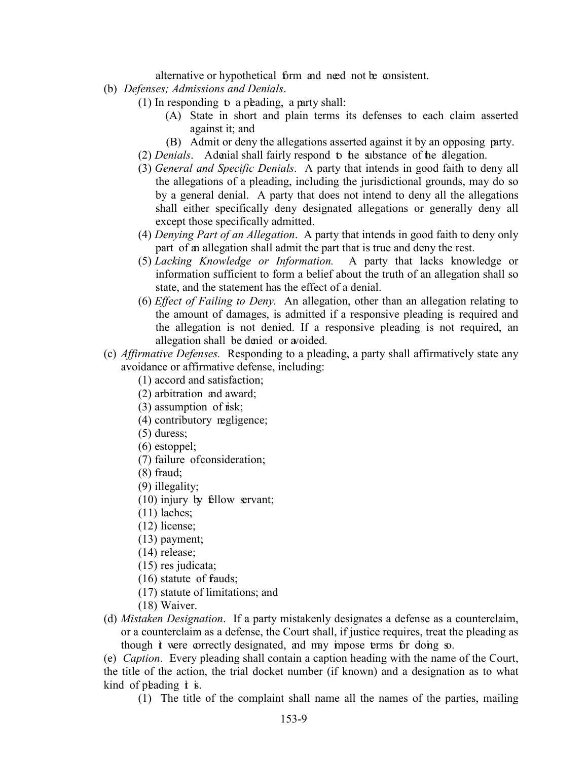alternative or hypothetical form and need not be consistent.

- (b) *Defenses; Admissions and Denials*.
	- $(1)$  In responding to a pleading, a party shall:
		- (A) State in short and plain terms its defenses to each claim asserted against it; and
		- (B) Admit or deny the allegations asserted against it by an opposing party.
	- (2) *Denials*. A denial shall fairly respond to the substance of the allegation.
	- (3) *General and Specific Denials*. A party that intends in good faith to deny all the allegations of a pleading, including the jurisdictional grounds, may do so by a general denial. A party that does not intend to deny all the allegations shall either specifically deny designated allegations or generally deny all except those specifically admitted.
	- (4) *Denying Part of an Allegation*. A party that intends in good faith to deny only part of an allegation shall admit the part that is true and deny the rest.
	- (5) *Lacking Knowledge or Information.* A party that lacks knowledge or information sufficient to form a belief about the truth of an allegation shall so state, and the statement has the effect of a denial.
	- (6) *Effect of Failing to Deny.* An allegation, other than an allegation relating to the amount of damages, is admitted if a responsive pleading is required and the allegation is not denied. If a responsive pleading is not required, an allegation shall be denied or avoided.
- (c) *Affirmative Defenses.* Responding to a pleading, a party shall affirmatively state any avoidance or affirmative defense, including:
	- (1) accord and satisfaction;
	- (2) arbitration and award;
	- $(3)$  assumption of risk;
	- (4) contributory negligence;
	- (5) duress;
	- (6) estoppel;
	- (7) failure of consideration;
	- (8) fraud;
	- (9) illegality;
	- (10) injury by fellow servant;
	- (11) laches;
	- (12) license;
	- (13) payment;
	- (14) release;
	- (15) res judicata;
	- $(16)$  statute of frauds;
	- (17) statute of limitations; and
	- (18) Waiver.
- (d) *Mistaken Designation*. If a party mistakenly designates a defense as a counterclaim, or a counterclaim as a defense, the Court shall, if justice requires, treat the pleading as though *t* were correctly designated, and may impose terms for doing so.

(e) *Caption*. Every pleading shall contain a caption heading with the name of the Court, the title of the action, the trial docket number (if known) and a designation as to what kind of planding  $\dot{\mathbf{t}}$  is.

(1) The title of the complaint shall name all the names of the parties, mailing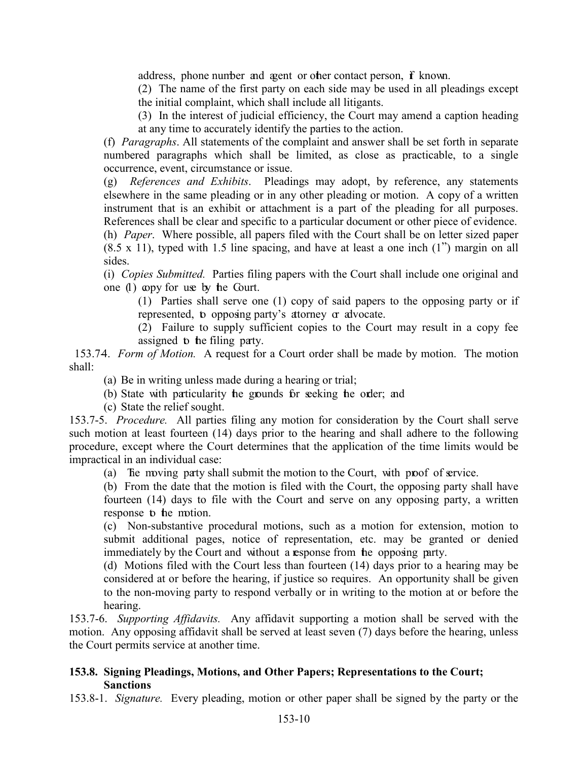address, phone number and agent or other contact person, if known.

(2) The name of the first party on each side may be used in all pleadings except the initial complaint, which shall include all litigants.

(3) In the interest of judicial efficiency, the Court may amend a caption heading at any time to accurately identify the parties to the action.

(f) *Paragraphs*. All statements of the complaint and answer shall be set forth in separate numbered paragraphs which shall be limited, as close as practicable, to a single occurrence, event, circumstance or issue.

(g) *References and Exhibits*. Pleadings may adopt, by reference, any statements elsewhere in the same pleading or in any other pleading or motion. A copy of a written instrument that is an exhibit or attachment is a part of the pleading for all purposes. References shall be clear and specific to a particular document or other piece of evidence.

(h) *Paper*. Where possible, all papers filed with the Court shall be on letter sized paper (8.5 x 11), typed with 1.5 line spacing, and have at least a one inch (1") margin on all sides.

(i) *Copies Submitted.* Parties filing papers with the Court shall include one original and one  $(1)$  copy for use by the Court.

(1) Parties shall serve one (1) copy of said papers to the opposing party or if represented, to opposing party's attorney or advocate.

(2) Failure to supply sufficient copies to the Court may result in a copy fee assigned **b** the filing party.

153.74. *Form of Motion*. A request for a Court order shall be made by motion. The motion shall:

(a) Be in writing unless made during a hearing or trial;

(b) State with particularity the grounds for seeking the order; and

(c) State the relief sought.

153.7-5. *Procedure.* All parties filing any motion for consideration by the Court shall serve such motion at least fourteen (14) days prior to the hearing and shall adhere to the following procedure, except where the Court determines that the application of the time limits would be impractical in an individual case:

(a) The moving party shall submit the motion to the Court, with proof of service.

(b) From the date that the motion is filed with the Court, the opposing party shall have fourteen (14) days to file with the Court and serve on any opposing party, a written response to the motion.

(c) Non-substantive procedural motions, such as a motion for extension, motion to submit additional pages, notice of representation, etc. may be granted or denied immediately by the Court and without a response from the opposing party.

(d) Motions filed with the Court less than fourteen (14) days prior to a hearing may be considered at or before the hearing, if justice so requires. An opportunity shall be given to the non-moving party to respond verbally or in writing to the motion at or before the hearing.

153.7-6. *Supporting Affidavits.* Any affidavit supporting a motion shall be served with the motion. Any opposing affidavit shall be served at least seven (7) days before the hearing, unless the Court permits service at another time.

# <span id="page-10-0"></span>**153.8. Signing Pleadings, Motions, and Other Papers; Representations to the Court; Sanctions**

153.8-1. *Signature.* Every pleading, motion or other paper shall be signed by the party or the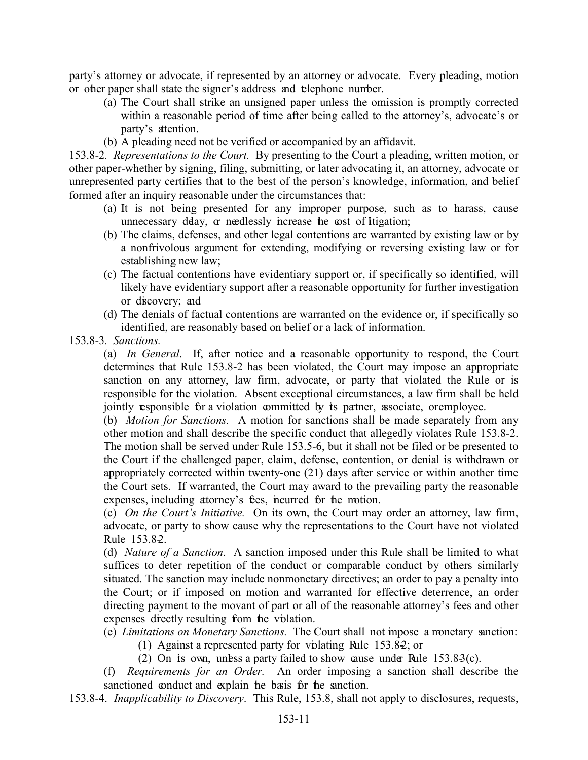party's attorney or advocate, if represented by an attorney or advocate. Every pleading, motion or other paper shall state the signer's address and telephone number.

- (a) The Court shall strike an unsigned paper unless the omission is promptly corrected within a reasonable period of time after being called to the attorney's, advocate's or party's attention.
- (b) A pleading need not be verified or accompanied by an affidavit.

153.8-2*. Representations to the Court.* By presenting to the Court a pleading, written motion, or other paper-whether by signing, filing, submitting, or later advocating it, an attorney, advocate or unrepresented party certifies that to the best of the person's knowledge, information, and belief formed after an inquiry reasonable under the circumstances that:

- (a) It is not being presented for any improper purpose, such as to harass, cause unnecessary dday, or needlessly increase the cost of Itigation;
- (b) The claims, defenses, and other legal contentions are warranted by existing law or by a nonfrivolous argument for extending, modifying or reversing existing law or for establishing new law;
- (c) The factual contentions have evidentiary support or, if specifically so identified, will likely have evidentiary support after a reasonable opportunity for further investigation or discovery; and
- (d) The denials of factual contentions are warranted on the evidence or, if specifically so identified, are reasonably based on belief or a lack of information.
- 153.8-3*. Sanctions.*

(a) *In General*. If, after notice and a reasonable opportunity to respond, the Court determines that Rule 153.8-2 has been violated, the Court may impose an appropriate sanction on any attorney, law firm, advocate, or party that violated the Rule or is responsible for the violation. Absent exceptional circumstances, a law firm shall be held jointly responsible for a violation committed by its partner, associate, or employee.

(b) *Motion for Sanctions.* A motion for sanctions shall be made separately from any other motion and shall describe the specific conduct that allegedly violates Rule 153.8-2. The motion shall be served under Rule 153.5-6, but it shall not be filed or be presented to the Court if the challenged paper, claim, defense, contention, or denial is withdrawn or appropriately corrected within twenty-one (21) days after service or within another time the Court sets. If warranted, the Court may award to the prevailing party the reasonable expenses, including attorney's fees, incurred for the motion.

(c) *On the Court's Initiative.* On its own, the Court may order an attorney, law firm, advocate, or party to show cause why the representations to the Court have not violated Rule 153.8-2.

(d) *Nature of a Sanction*. A sanction imposed under this Rule shall be limited to what suffices to deter repetition of the conduct or comparable conduct by others similarly situated. The sanction may include nonmonetary directives; an order to pay a penalty into the Court; or if imposed on motion and warranted for effective deterrence, an order directing payment to the movant of part or all of the reasonable attorney's fees and other expenses directly resulting from the violation.

(e) *Limitations on Monetary Sanctions.* The Court shall not impose a monetary sanction:

- (1) Against a represented party for violating Rule 153.8-2; or
- (2) On its own, unless a party failed to show cause under Rule  $153.83(c)$ .
- (f) *Requirements for an Order.* An order imposing a sanction shall describe the sanctioned conduct and explain the basis for the sanction.
- 153.8-4. *Inapplicability to Discovery*. This Rule, 153.8, shall not apply to disclosures, requests,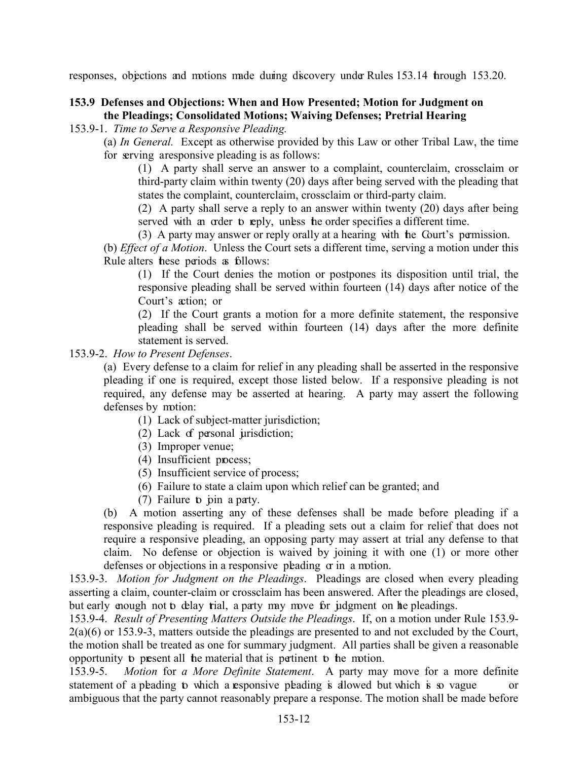responses, objections and motions made during discovery under Rules 153.14 through 153.20.

# <span id="page-12-0"></span>**153.9 Defenses and Objections: When and How Presented; Motion for Judgment on the Pleadings; Consolidated Motions; Waiving Defenses; Pretrial Hearing**

#### 153.9-1. *Time to Serve a Responsive Pleading.*

(a) *In General.* Except as otherwise provided by this Law or other Tribal Law, the time for serving a responsive pleading is as follows:

(1) A party shall serve an answer to a complaint, counterclaim, crossclaim or third-party claim within twenty (20) days after being served with the pleading that states the complaint, counterclaim, crossclaim or third-party claim.

(2) A party shall serve a reply to an answer within twenty (20) days after being served with an order to reply, unless the order specifies a different time.

(3) A party may answer or reply orally at a hearing with the Court's permission.

(b) *Effect of a Motion*. Unless the Court sets a different time, serving a motion under this Rule alters these periods as follows:

(1) If the Court denies the motion or postpones its disposition until trial, the responsive pleading shall be served within fourteen (14) days after notice of the Court's action; or

(2) If the Court grants a motion for a more definite statement, the responsive pleading shall be served within fourteen (14) days after the more definite statement is served.

#### 153.9-2. *How to Present Defenses*.

(a) Every defense to a claim for relief in any pleading shall be asserted in the responsive pleading if one is required, except those listed below. If a responsive pleading is not required, any defense may be asserted at hearing. A party may assert the following defenses by motion:

- (1) Lack of subject-matter jurisdiction;
- (2) Lack of personal jurisdiction;
- (3) Improper venue;
- (4) Insufficient process;
- (5) Insufficient service of process;
- (6) Failure to state a claim upon which relief can be granted; and
- (7) Failure to pin a party.

(b) A motion asserting any of these defenses shall be made before pleading if a responsive pleading is required. If a pleading sets out a claim for relief that does not require a responsive pleading, an opposing party may assert at trial any defense to that claim. No defense or objection is waived by joining it with one (1) or more other defenses or objections in a responsive pleading  $\sigma$  in a motion.

153.9-3. *Motion for Judgment on the Pleadings*. Pleadings are closed when every pleading asserting a claim, counter-claim or crossclaim has been answered. After the pleadings are closed, but early enough not to delay trial, a party may move for judgment on the pleadings.

153.9-4. *Result of Presenting Matters Outside the Pleadings*. If, on a motion under Rule 153.9- 2(a)(6) or 153.9-3, matters outside the pleadings are presented to and not excluded by the Court, the motion shall be treated as one for summary judgment. All parties shall be given a reasonable opportunity to present all the material that is pertinent to the motion.

153.9-5. *Motion* for *a More Definite Statement*. A party may move for a more definite statement of a pleading to which a responsive pleading is allowed but which is so vague or ambiguous that the party cannot reasonably prepare a response. The motion shall be made before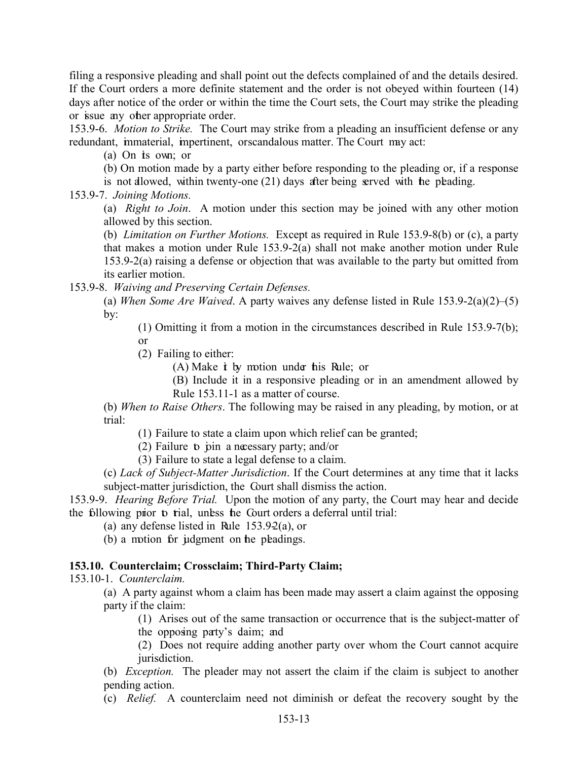filing a responsive pleading and shall point out the defects complained of and the details desired. If the Court orders a more definite statement and the order is not obeyed within fourteen (14) days after notice of the order or within the time the Court sets, the Court may strike the pleading or issue any other appropriate order.

153.9-6. *Motion to Strike.* The Court may strike from a pleading an insufficient defense or any redundant, immaterial, impertinent, or scandalous matter. The Court may act:

(a) On its own; or

(b) On motion made by a party either before responding to the pleading or, if a response is not allowed, within twenty-one  $(21)$  days after being served with the pleading.

153.9-7. *Joining Motions.*

(a) *Right to Join*. A motion under this section may be joined with any other motion allowed by this section.

(b) *Limitation on Further Motions.* Except as required in Rule 153.9-8(b) or (c), a party that makes a motion under Rule 153.9-2(a) shall not make another motion under Rule 153.9-2(a) raising a defense or objection that was available to the party but omitted from its earlier motion.

153.9-8. *Waiving and Preserving Certain Defenses.* 

(a) *When Some Are Waived*. A party waives any defense listed in Rule 153.9-2(a)(2)–(5) by:

(1) Omitting it from a motion in the circumstances described in Rule 153.9-7(b); or

(2) Failing to either:

 $(A)$  Make  $\dot{t}$  by motion under this Rule; or

(B) Include it in a responsive pleading or in an amendment allowed by Rule 153.11-1 as a matter of course.

(b) *When to Raise Others*. The following may be raised in any pleading, by motion, or at trial:

(1) Failure to state a claim upon which relief can be granted;

(2) Failure to join a necessary party; and/or

(3) Failure to state a legal defense to a claim.

(c) *Lack of Subject-Matter Jurisdiction*. If the Court determines at any time that it lacks subject-matter jurisdiction, the Court shall dismiss the action.

153.9-9. *Hearing Before Trial.* Upon the motion of any party, the Court may hear and decide the following prior to trial, unless the Court orders a deferral until trial:

(a) any defense listed in Rule  $153.92(a)$ , or

(b) a motion for judgment on the pleadings.

#### <span id="page-13-0"></span>**153.10. Counterclaim; Crossclaim; Third-Party Claim;**

153.10-1. *Counterclaim.*

(a) A party against whom a claim has been made may assert a claim against the opposing party if the claim:

(1) Arises out of the same transaction or occurrence that is the subject-matter of

the opposing party's daim; and

(2) Does not require adding another party over whom the Court cannot acquire jurisdiction.

(b) *Exception.* The pleader may not assert the claim if the claim is subject to another pending action.

(c) *Relief.* A counterclaim need not diminish or defeat the recovery sought by the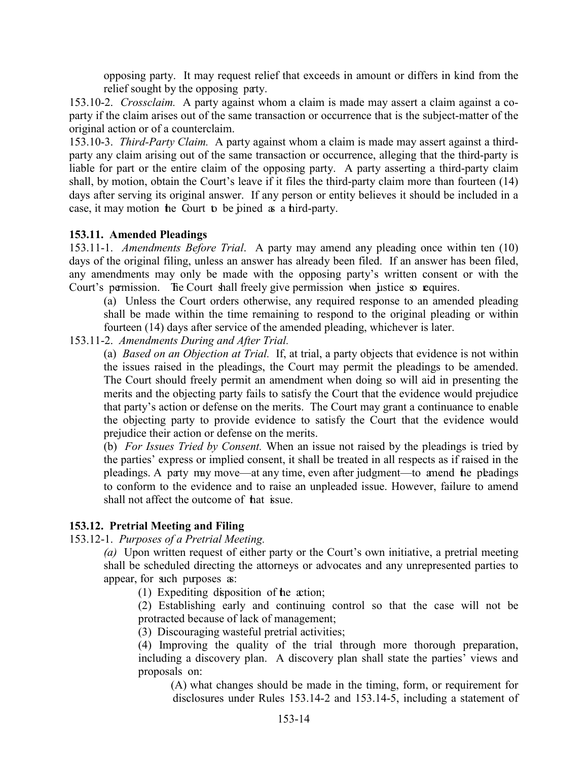opposing party. It may request relief that exceeds in amount or differs in kind from the relief sought by the opposing party.

153.10-2. *Crossclaim.* A party against whom a claim is made may assert a claim against a coparty if the claim arises out of the same transaction or occurrence that is the subject-matter of the original action or of a counterclaim.

153.10-3. *Third-Party Claim.* A party against whom a claim is made may assert against a thirdparty any claim arising out of the same transaction or occurrence, alleging that the third-party is liable for part or the entire claim of the opposing party. A party asserting a third-party claim shall, by motion, obtain the Court's leave if it files the third-party claim more than fourteen (14) days after serving its original answer. If any person or entity believes it should be included in a case, it may motion the Court to be joined as a third-party.

# <span id="page-14-0"></span>**153.11. Amended Pleadings**

153.11-1. *Amendments Before Trial*. A party may amend any pleading once within ten (10) days of the original filing, unless an answer has already been filed. If an answer has been filed, any amendments may only be made with the opposing party's written consent or with the Court's permission. The Court shall freely give permission when justice so requires.

(a) Unless the Court orders otherwise, any required response to an amended pleading shall be made within the time remaining to respond to the original pleading or within fourteen (14) days after service of the amended pleading, whichever is later.

153.11-2. *Amendments During and After Trial.*

(a) *Based on an Objection at Trial.* If, at trial, a party objects that evidence is not within the issues raised in the pleadings, the Court may permit the pleadings to be amended. The Court should freely permit an amendment when doing so will aid in presenting the merits and the objecting party fails to satisfy the Court that the evidence would prejudice that party's action or defense on the merits. The Court may grant a continuance to enable the objecting party to provide evidence to satisfy the Court that the evidence would prejudice their action or defense on the merits.

(b) *For Issues Tried by Consent.* When an issue not raised by the pleadings is tried by the parties' express or implied consent, it shall be treated in all respects as if raised in the pleadings. A party may move—at any time, even after judgment—to amend the pleadings to conform to the evidence and to raise an unpleaded issue. However, failure to amend shall not affect the outcome of **hat** issue.

# <span id="page-14-1"></span>**153.12. Pretrial Meeting and Filing**

153.12-1. *Purposes of a Pretrial Meeting.* 

*(a)* Upon written request of either party or the Court's own initiative, a pretrial meeting shall be scheduled directing the attorneys or advocates and any unrepresented parties to appear, for such purposes as:

(1) Expediting disposition of the action;

(2) Establishing early and continuing control so that the case will not be protracted because of lack of management;

(3) Discouraging wasteful pretrial activities;

(4) Improving the quality of the trial through more thorough preparation, including a discovery plan. A discovery plan shall state the parties' views and proposals on:

(A) what changes should be made in the timing, form, or requirement for disclosures under Rules 153.14-2 and 153.14-5, including a statement of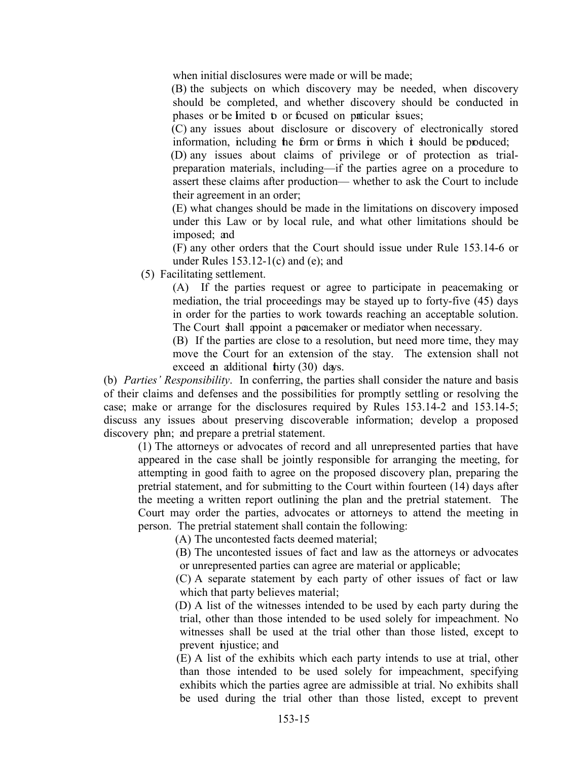when initial disclosures were made or will be made;

(B) the subjects on which discovery may be needed, when discovery should be completed, and whether discovery should be conducted in phases or be limited to or focused on paticular issues;

(C) any issues about disclosure or discovery of electronically stored information, including the form or forms in which  $\dot{\mathbf{t}}$  should be produced;

(D) any issues about claims of privilege or of protection as trialpreparation materials, including—if the parties agree on a procedure to assert these claims after production— whether to ask the Court to include their agreement in an order;

(E) what changes should be made in the limitations on discovery imposed under this Law or by local rule, and what other limitations should be imposed; and

(F) any other orders that the Court should issue under Rule 153.14-6 or under Rules  $153.12-1(c)$  and (e); and

(5) Facilitating settlement.

(A) If the parties request or agree to participate in peacemaking or mediation, the trial proceedings may be stayed up to forty-five (45) days in order for the parties to work towards reaching an acceptable solution. The Court shall appoint a peacemaker or mediator when necessary.

(B) If the parties are close to a resolution, but need more time, they may move the Court for an extension of the stay. The extension shall not exceed an additional thirty (30) days.

(b) *Parties' Responsibility*. In conferring, the parties shall consider the nature and basis of their claims and defenses and the possibilities for promptly settling or resolving the case; make or arrange for the disclosures required by Rules 153.14-2 and 153.14-5; discuss any issues about preserving discoverable information; develop a proposed discovery plan; and prepare a pretrial statement.

(1) The attorneys or advocates of record and all unrepresented parties that have appeared in the case shall be jointly responsible for arranging the meeting, for attempting in good faith to agree on the proposed discovery plan, preparing the pretrial statement, and for submitting to the Court within fourteen (14) days after the meeting a written report outlining the plan and the pretrial statement. The Court may order the parties, advocates or attorneys to attend the meeting in person. The pretrial statement shall contain the following:

(A) The uncontested facts deemed material;

(B) The uncontested issues of fact and law as the attorneys or advocates or unrepresented parties can agree are material or applicable;

(C) A separate statement by each party of other issues of fact or law which that party believes material;

(D) A list of the witnesses intended to be used by each party during the trial, other than those intended to be used solely for impeachment. No witnesses shall be used at the trial other than those listed, except to prevent injustice; and

(E) A list of the exhibits which each party intends to use at trial, other than those intended to be used solely for impeachment, specifying exhibits which the parties agree are admissible at trial. No exhibits shall be used during the trial other than those listed, except to prevent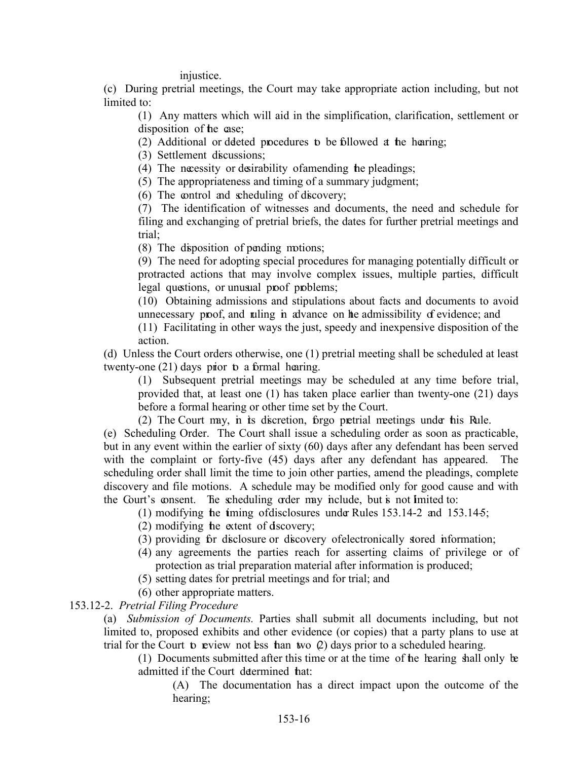injustice.

(c) During pretrial meetings, the Court may take appropriate action including, but not limited to:

(1) Any matters which will aid in the simplification, clarification, settlement or disposition of the case:

(2) Additional or deleted procedures to be followed at the hearing;

(3) Settlement discussions;

(4) The necessity or desirability of amending the pleadings;

(5) The appropriateness and timing of a summary judgment;

(6) The control and scheduling of discovery;

(7) The identification of witnesses and documents, the need and schedule for filing and exchanging of pretrial briefs, the dates for further pretrial meetings and trial;

(8) The disposition of pending motions;

(9) The need for adopting special procedures for managing potentially difficult or protracted actions that may involve complex issues, multiple parties, difficult legal questions, or unusual proof problems;

(10) Obtaining admissions and stipulations about facts and documents to avoid unnecessary proof, and ruling in advance on the admissibility of evidence; and

(11) Facilitating in other ways the just, speedy and inexpensive disposition of the action.

(d) Unless the Court orders otherwise, one (1) pretrial meeting shall be scheduled at least twenty-one  $(21)$  days prior to a formal hearing.

(1) Subsequent pretrial meetings may be scheduled at any time before trial, provided that, at least one (1) has taken place earlier than twenty-one (21) days before a formal hearing or other time set by the Court.

(2) The Court may, in its discretion, forgo pretrial meetings under his Rule.

(e) Scheduling Order. The Court shall issue a scheduling order as soon as practicable, but in any event within the earlier of sixty (60) days after any defendant has been served with the complaint or forty-five (45) days after any defendant has appeared. The scheduling order shall limit the time to join other parties, amend the pleadings, complete discovery and file motions. A schedule may be modified only for good cause and with the Court's consent. The scheduling order may include, but is not limited to:

(1) modifying the timing of disclosures under Rules  $153.14-2$  and  $153.14-5$ ;

(2) modifying the extent of discovery;

(3) providing for disclosure or discovery of electronically stored information;

- (4) any agreements the parties reach for asserting claims of privilege or of protection as trial preparation material after information is produced;
- (5) setting dates for pretrial meetings and for trial; and

(6) other appropriate matters.

# 153.12-2. *Pretrial Filing Procedure*

(a) *Submission of Documents.* Parties shall submit all documents including, but not limited to, proposed exhibits and other evidence (or copies) that a party plans to use at trial for the Court to review not less than two  $Q$ ) days prior to a scheduled hearing.

(1) Documents submitted after this time or at the time of the hearing shall only be admitted if the Court determined hat:

(A) The documentation has a direct impact upon the outcome of the hearing;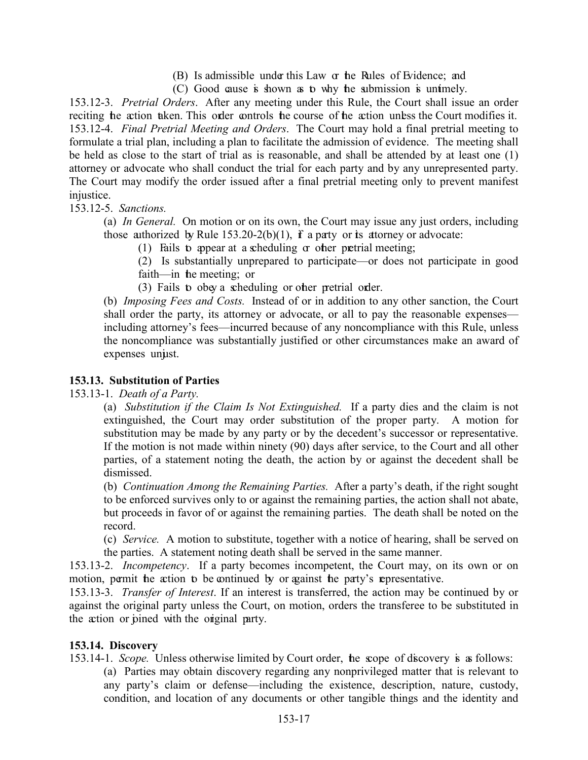- (B) Is admissible under this Law or the Rules of Evidence; and
- $(C)$  Good cause is shown as to why the submission is untimely.

153.12-3. *Pretrial Orders*. After any meeting under this Rule, the Court shall issue an order reciting the action taken. This order controls the course of the action unless the Court modifies it. 153.12-4. *Final Pretrial Meeting and Orders*. The Court may hold a final pretrial meeting to formulate a trial plan, including a plan to facilitate the admission of evidence. The meeting shall be held as close to the start of trial as is reasonable, and shall be attended by at least one (1) attorney or advocate who shall conduct the trial for each party and by any unrepresented party. The Court may modify the order issued after a final pretrial meeting only to prevent manifest injustice.

153.12-5. *Sanctions.*

(a) *In General.* On motion or on its own, the Court may issue any just orders, including those authorized by Rule  $153.20-2(b)(1)$ , if a party or its attorney or advocate:

(1) Fails to appear at a scheduling  $\alpha$  other pretrial meeting;

(2) Is substantially unprepared to participate—or does not participate in good faith—in the meeting; or

(3) Fails to obey a scheduling or other pretrial order.

(b) *Imposing Fees and Costs.* Instead of or in addition to any other sanction, the Court shall order the party, its attorney or advocate, or all to pay the reasonable expenses including attorney's fees—incurred because of any noncompliance with this Rule, unless the noncompliance was substantially justified or other circumstances make an award of expenses unjust.

#### <span id="page-17-0"></span>**153.13. Substitution of Parties**

153.13-1. *Death of a Party.*

(a) *Substitution if the Claim Is Not Extinguished.* If a party dies and the claim is not extinguished, the Court may order substitution of the proper party. A motion for substitution may be made by any party or by the decedent's successor or representative. If the motion is not made within ninety (90) days after service, to the Court and all other parties, of a statement noting the death, the action by or against the decedent shall be dismissed.

(b) *Continuation Among the Remaining Parties.* After a party's death, if the right sought to be enforced survives only to or against the remaining parties, the action shall not abate, but proceeds in favor of or against the remaining parties. The death shall be noted on the record.

(c) *Service.* A motion to substitute, together with a notice of hearing, shall be served on the parties. A statement noting death shall be served in the same manner.

153.13-2. *Incompetency*. If a party becomes incompetent, the Court may, on its own or on motion, permit the action to be continued by or against the party's representative.

153.13-3. *Transfer of Interest*. If an interest is transferred, the action may be continued by or against the original party unless the Court, on motion, orders the transferee to be substituted in the action or pined with the original party.

#### <span id="page-17-1"></span>**153.14. Discovery**

153.14-1. *Scope.* Unless otherwise limited by Court order, the scope of discovery is as follows:

(a) Parties may obtain discovery regarding any nonprivileged matter that is relevant to any party's claim or defense—including the existence, description, nature, custody, condition, and location of any documents or other tangible things and the identity and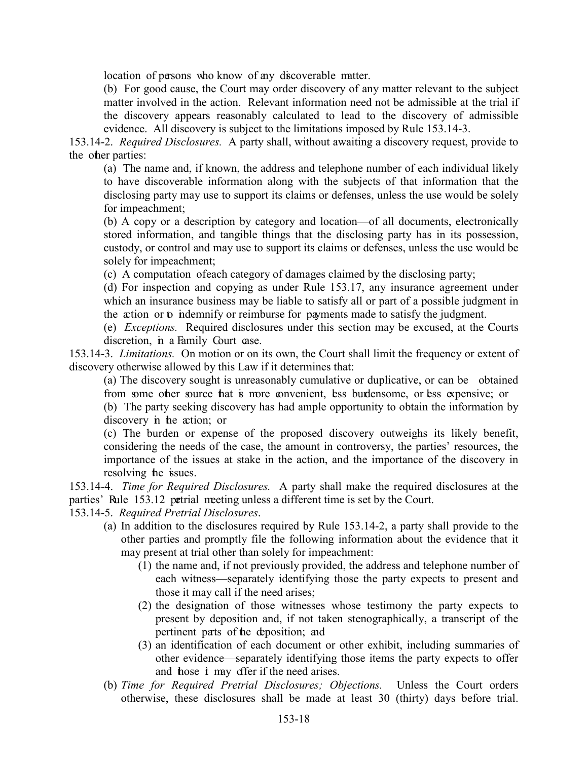location of persons who know of any discoverable matter.

(b) For good cause, the Court may order discovery of any matter relevant to the subject matter involved in the action. Relevant information need not be admissible at the trial if the discovery appears reasonably calculated to lead to the discovery of admissible evidence. All discovery is subject to the limitations imposed by Rule 153.14-3.

153.14-2. *Required Disclosures.* A party shall, without awaiting a discovery request, provide to the other parties:

(a) The name and, if known, the address and telephone number of each individual likely to have discoverable information along with the subjects of that information that the disclosing party may use to support its claims or defenses, unless the use would be solely for impeachment;

(b) A copy or a description by category and location—of all documents, electronically stored information, and tangible things that the disclosing party has in its possession, custody, or control and may use to support its claims or defenses, unless the use would be solely for impeachment;

(c) A computation of each category of damages claimed by the disclosing party;

(d) For inspection and copying as under Rule 153.17, any insurance agreement under which an insurance business may be liable to satisfy all or part of a possible judgment in the action or to indemnify or reimburse for payments made to satisfy the judgment.

(e) *Exceptions.* Required disclosures under this section may be excused, at the Courts discretion, in a Family Court case.

153.14-3. *Limitations.* On motion or on its own, the Court shall limit the frequency or extent of discovery otherwise allowed by this Law if it determines that:

(a) The discovery sought is unreasonably cumulative or duplicative, or can be obtained from some other source that is more convenient, less burdensome, or less expensive; or

(b) The party seeking discovery has had ample opportunity to obtain the information by discovery in the action; or

(c) The burden or expense of the proposed discovery outweighs its likely benefit, considering the needs of the case, the amount in controversy, the parties' resources, the importance of the issues at stake in the action, and the importance of the discovery in resolving the issues.

153.14-4. *Time for Required Disclosures.* A party shall make the required disclosures at the parties' Rule 153.12 petrial meeting unless a different time is set by the Court.

153.14-5. *Required Pretrial Disclosures*.

- (a) In addition to the disclosures required by Rule 153.14-2, a party shall provide to the other parties and promptly file the following information about the evidence that it may present at trial other than solely for impeachment:
	- (1) the name and, if not previously provided, the address and telephone number of each witness—separately identifying those the party expects to present and those it may call if the need arises;
	- (2) the designation of those witnesses whose testimony the party expects to present by deposition and, if not taken stenographically, a transcript of the pertinent parts of the deposition; and
	- (3) an identification of each document or other exhibit, including summaries of other evidence—separately identifying those items the party expects to offer and hose *i* may offer if the need arises.
- (b) *Time for Required Pretrial Disclosures; Objections.* Unless the Court orders otherwise, these disclosures shall be made at least 30 (thirty) days before trial.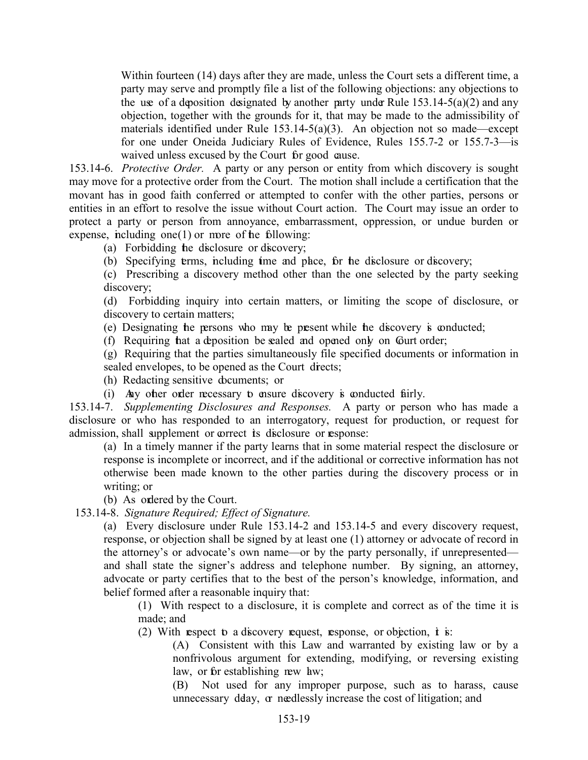Within fourteen (14) days after they are made, unless the Court sets a different time, a party may serve and promptly file a list of the following objections: any objections to the use of a deposition designated by another party under Rule  $153.14-5(a)(2)$  and any objection, together with the grounds for it, that may be made to the admissibility of materials identified under Rule  $153.14-5(a)(3)$ . An objection not so made—except for one under Oneida Judiciary Rules of Evidence, Rules 155.7-2 or 155.7-3—is waived unless excused by the Court for good cause.

153.14-6. *Protective Order.* A party or any person or entity from which discovery is sought may move for a protective order from the Court. The motion shall include a certification that the movant has in good faith conferred or attempted to confer with the other parties, persons or entities in an effort to resolve the issue without Court action. The Court may issue an order to protect a party or person from annoyance, embarrassment, oppression, or undue burden or expense, including one $(1)$  or more of the following:

(a) Forbidding the disclosure or discovery;

(b) Specifying terms, including time and place, for the disclosure or discovery;

(c) Prescribing a discovery method other than the one selected by the party seeking discovery;

(d) Forbidding inquiry into certain matters, or limiting the scope of disclosure, or discovery to certain matters;

(e) Designating the persons who may be present while the discovery is conducted;

(f) Requiring hat a deposition be sealed and opened only on Gurt order;

(g) Requiring that the parties simultaneously file specified documents or information in sealed envelopes, to be opened as the Court directs;

(h) Redacting sensitive documents; or

(i) Any other order necessary to ensure discovery is conducted fairly.

153.14-7. *Supplementing Disclosures and Responses.* A party or person who has made a disclosure or who has responded to an interrogatory, request for production, or request for admission, shall supplement or correct its disclosure or response:

(a) In a timely manner if the party learns that in some material respect the disclosure or response is incomplete or incorrect, and if the additional or corrective information has not otherwise been made known to the other parties during the discovery process or in writing; or

(b) As ordered by the Court.

153.14-8. *Signature Required; Effect of Signature.* 

(a) Every disclosure under Rule 153.14-2 and 153.14-5 and every discovery request, response, or objection shall be signed by at least one (1) attorney or advocate of record in the attorney's or advocate's own name—or by the party personally, if unrepresented and shall state the signer's address and telephone number. By signing, an attorney, advocate or party certifies that to the best of the person's knowledge, information, and belief formed after a reasonable inquiry that:

(1) With respect to a disclosure, it is complete and correct as of the time it is made; and

(2) With respect to a discovery request, response, or objection,  $\dot{\mathbf{t}}$  is:

(A) Consistent with this Law and warranted by existing law or by a nonfrivolous argument for extending, modifying, or reversing existing law, or for establishing new law;

(B) Not used for any improper purpose, such as to harass, cause unnecessary delay, or needlessly increase the cost of litigation; and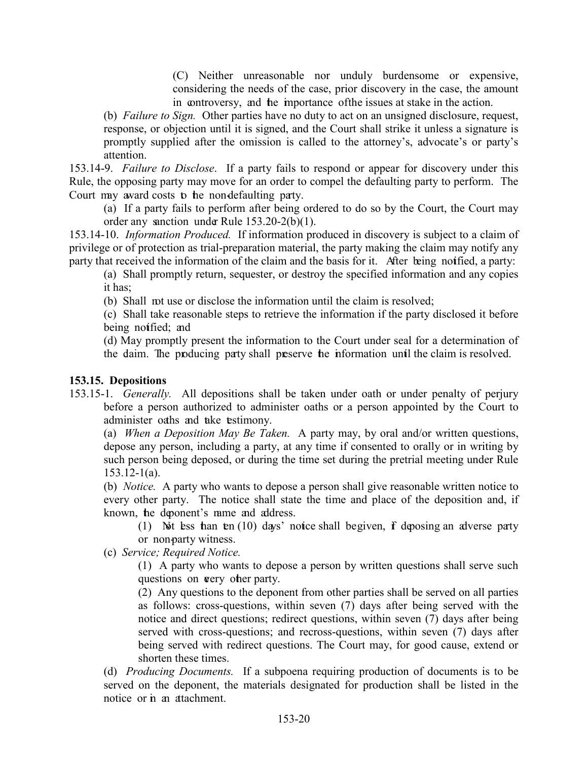(C) Neither unreasonable nor unduly burdensome or expensive, considering the needs of the case, prior discovery in the case, the amount in controversy, and the importance of the issues at stake in the action.

(b) *Failure to Sign.* Other parties have no duty to act on an unsigned disclosure, request, response, or objection until it is signed, and the Court shall strike it unless a signature is promptly supplied after the omission is called to the attorney's, advocate's or party's attention.

153.14-9. *Failure to Disclose*. If a party fails to respond or appear for discovery under this Rule, the opposing party may move for an order to compel the defaulting party to perform. The Court may award costs to the non-defaulting party.

(a) If a party fails to perform after being ordered to do so by the Court, the Court may order any sanction under Rule 153.20-2(b)(1).

153.14-10. *Information Produced.* If information produced in discovery is subject to a claim of privilege or of protection as trial-preparation material, the party making the claim may notify any party that received the information of the claim and the basis for it. After being notified, a party:

(a) Shall promptly return, sequester, or destroy the specified information and any copies it has;

(b) Shall not use or disclose the information until the claim is resolved;

(c) Shall take reasonable steps to retrieve the information if the party disclosed it before being notified; and

(d) May promptly present the information to the Court under seal for a determination of the daim. The producing party shall preserve the information until the claim is resolved.

# <span id="page-20-0"></span>**153.15. Depositions**

153.15-1. *Generally.* All depositions shall be taken under oath or under penalty of perjury before a person authorized to administer oaths or a person appointed by the Court to administer oaths and take testimony.

(a) *When a Deposition May Be Taken.* A party may, by oral and/or written questions, depose any person, including a party, at any time if consented to orally or in writing by such person being deposed, or during the time set during the pretrial meeting under Rule  $153.12 - 1(a)$ .

(b) *Notice.* A party who wants to depose a person shall give reasonable written notice to every other party. The notice shall state the time and place of the deposition and, if known, the deponent's name and address.

(1) Not less than  $\text{ten}(10)$  days' notice shall be given, if deposing an adverse party or non-party witness.

(c) *Service; Required Notice.* 

(1) A party who wants to depose a person by written questions shall serve such questions on very other party.

(2) Any questions to the deponent from other parties shall be served on all parties as follows: cross-questions, within seven (7) days after being served with the notice and direct questions; redirect questions, within seven (7) days after being served with cross-questions; and recross-questions, within seven (7) days after being served with redirect questions. The Court may, for good cause, extend or shorten these times.

(d) *Producing Documents.* If a subpoena requiring production of documents is to be served on the deponent, the materials designated for production shall be listed in the notice or in an attachment.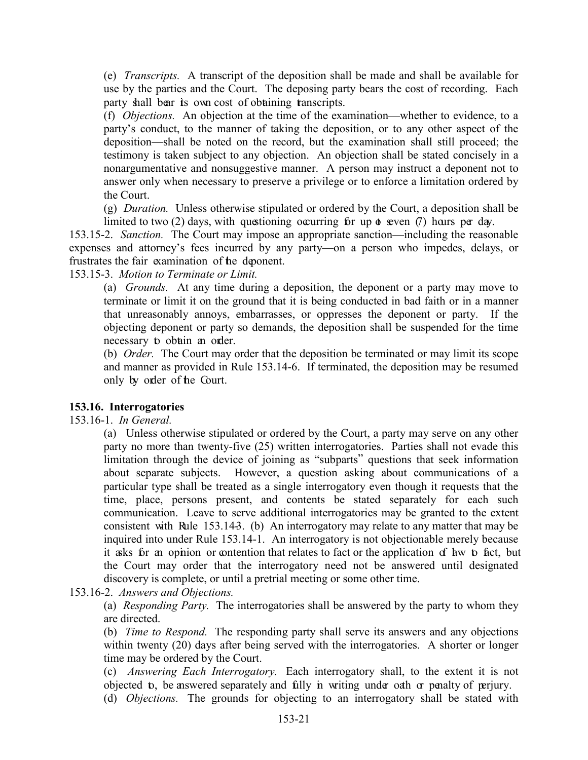(e) *Transcripts.* A transcript of the deposition shall be made and shall be available for use by the parties and the Court. The deposing party bears the cost of recording. Each party shall bear its own cost of obtaining transcripts.

(f) *Objections.* An objection at the time of the examination—whether to evidence, to a party's conduct, to the manner of taking the deposition, or to any other aspect of the deposition—shall be noted on the record, but the examination shall still proceed; the testimony is taken subject to any objection. An objection shall be stated concisely in a nonargumentative and nonsuggestive manner. A person may instruct a deponent not to answer only when necessary to preserve a privilege or to enforce a limitation ordered by the Court.

(g) *Duration.* Unless otherwise stipulated or ordered by the Court, a deposition shall be limited to two (2) days, with questioning occurring for up  $\phi$  seven (7) hours per day.

153.15-2. *Sanction.* The Court may impose an appropriate sanction—including the reasonable expenses and attorney's fees incurred by any party—on a person who impedes, delays, or frustrates the fair examination of the deponent.

153.15-3. *Motion to Terminate or Limit.*

(a) *Grounds.* At any time during a deposition, the deponent or a party may move to terminate or limit it on the ground that it is being conducted in bad faith or in a manner that unreasonably annoys, embarrasses, or oppresses the deponent or party. If the objecting deponent or party so demands, the deposition shall be suspended for the time necessary to obtain an order.

(b) *Order.* The Court may order that the deposition be terminated or may limit its scope and manner as provided in Rule 153.14-6. If terminated, the deposition may be resumed only by order of the Court.

# <span id="page-21-0"></span>**153.16. Interrogatories**

# 153.16-1. *In General.*

(a) Unless otherwise stipulated or ordered by the Court, a party may serve on any other party no more than twenty-five (25) written interrogatories. Parties shall not evade this limitation through the device of joining as "subparts" questions that seek information about separate subjects. However, a question asking about communications of a particular type shall be treated as a single interrogatory even though it requests that the time, place, persons present, and contents be stated separately for each such communication. Leave to serve additional interrogatories may be granted to the extent consistent with Rule 153.143. (b) An interrogatory may relate to any matter that may be inquired into under Rule 153.14-1. An interrogatory is not objectionable merely because it asks for an opinion or contention that relates to fact or the application of law to fact, but the Court may order that the interrogatory need not be answered until designated discovery is complete, or until a pretrial meeting or some other time.

153.16-2. *Answers and Objections.*

(a) *Responding Party.* The interrogatories shall be answered by the party to whom they are directed.

(b) *Time to Respond.* The responding party shall serve its answers and any objections within twenty (20) days after being served with the interrogatories. A shorter or longer time may be ordered by the Court.

(c) *Answering Each Interrogatory.* Each interrogatory shall, to the extent it is not objected to, be answered separately and fully in writing under oath or penalty of perjury.

(d) *Objections.* The grounds for objecting to an interrogatory shall be stated with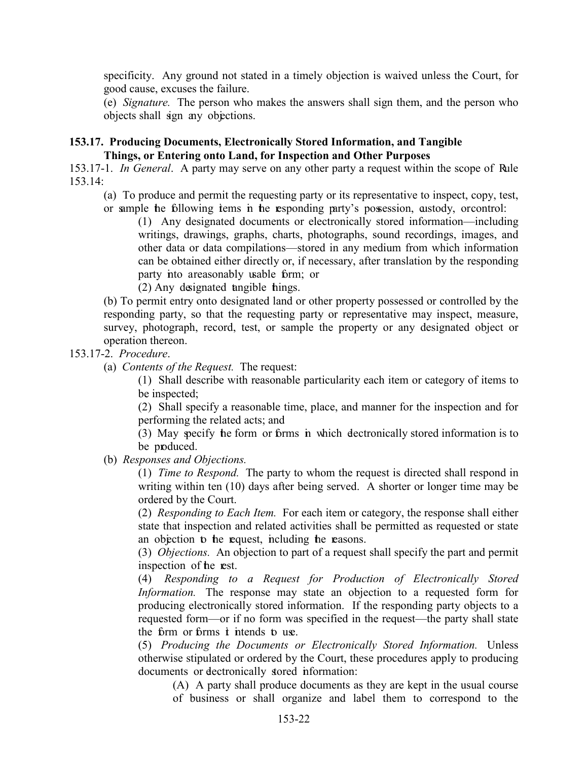specificity. Any ground not stated in a timely objection is waived unless the Court, for good cause, excuses the failure.

(e) *Signature.* The person who makes the answers shall sign them, and the person who objects shall sign any objections.

<span id="page-22-0"></span>**153.17. Producing Documents, Electronically Stored Information, and Tangible Things, or Entering onto Land, for Inspection and Other Purposes** 

153.17-1. *In General*. A party may serve on any other party a request within the scope of Rule 153.14:

(a) To produce and permit the requesting party or its representative to inspect, copy, test, or sample the following tems in the responding party's possession, austody, or control:

(1) Any designated documents or electronically stored information—including writings, drawings, graphs, charts, photographs, sound recordings, images, and other data or data compilations—stored in any medium from which information can be obtained either directly or, if necessary, after translation by the responding party into a reasonably usable form; or

(2) Any designated tangible things.

(b) To permit entry onto designated land or other property possessed or controlled by the responding party, so that the requesting party or representative may inspect, measure, survey, photograph, record, test, or sample the property or any designated object or operation thereon.

153.17-2. *Procedure*.

(a) *Contents of the Request.* The request:

(1) Shall describe with reasonable particularity each item or category of items to be inspected;

(2) Shall specify a reasonable time, place, and manner for the inspection and for performing the related acts; and

(3) May specify the form or forms in which electronically stored information is to be produced.

(b) *Responses and Objections.*

(1) *Time to Respond.* The party to whom the request is directed shall respond in writing within ten (10) days after being served. A shorter or longer time may be ordered by the Court.

(2) *Responding to Each Item.* For each item or category, the response shall either state that inspection and related activities shall be permitted as requested or state an objection to the request, including the reasons.

(3) *Objections.* An objection to part of a request shall specify the part and permit inspection of the rest.

(4) *Responding to a Request for Production of Electronically Stored Information.* The response may state an objection to a requested form for producing electronically stored information. If the responding party objects to a requested form—or if no form was specified in the request—the party shall state the form or forms *i* intends to use.

(5) *Producing the Documents or Electronically Stored Information.* Unless otherwise stipulated or ordered by the Court, these procedures apply to producing documents or dectronically stored information:

(A) A party shall produce documents as they are kept in the usual course of business or shall organize and label them to correspond to the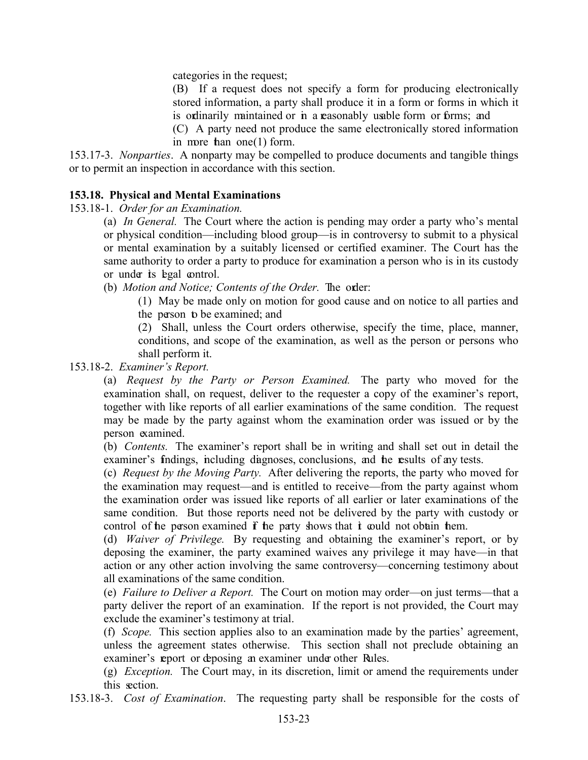categories in the request;

(B) If a request does not specify a form for producing electronically stored information, a party shall produce it in a form or forms in which it is ordinarily maintained or in a reasonably usable form or forms; and

(C) A party need not produce the same electronically stored information in more than one  $(1)$  form.

153.17-3. *Nonparties*. A nonparty may be compelled to produce documents and tangible things or to permit an inspection in accordance with this section.

#### **153.18. Physical and Mental Examinations**

153.18-1. *Order for an Examination.* 

(a) *In General.* The Court where the action is pending may order a party who's mental or physical condition—including blood group—is in controversy to submit to a physical or mental examination by a suitably licensed or certified examiner. The Court has the same authority to order a party to produce for examination a person who is in its custody or under its legal control.

(b) *Motion and Notice; Contents of the Order.* The order:

(1) May be made only on motion for good cause and on notice to all parties and the person to be examined; and

(2) Shall, unless the Court orders otherwise, specify the time, place, manner, conditions, and scope of the examination, as well as the person or persons who shall perform it.

153.18-2. *Examiner's Report.* 

(a) *Request by the Party or Person Examined.* The party who moved for the examination shall, on request, deliver to the requester a copy of the examiner's report, together with like reports of all earlier examinations of the same condition. The request may be made by the party against whom the examination order was issued or by the person examined.

(b) *Contents.* The examiner's report shall be in writing and shall set out in detail the examiner's findings, including diagnoses, conclusions, and the results of any tests.

(c) *Request by the Moving Party.* After delivering the reports, the party who moved for the examination may request—and is entitled to receive—from the party against whom the examination order was issued like reports of all earlier or later examinations of the same condition. But those reports need not be delivered by the party with custody or control of the person examined  $\bf{f}$  the party shows that  $\bf{i}$  could not obtain them.

(d) *Waiver of Privilege.* By requesting and obtaining the examiner's report, or by deposing the examiner, the party examined waives any privilege it may have—in that action or any other action involving the same controversy—concerning testimony about all examinations of the same condition.

(e) *Failure to Deliver a Report.* The Court on motion may order—on just terms—that a party deliver the report of an examination. If the report is not provided, the Court may exclude the examiner's testimony at trial.

(f) *Scope.* This section applies also to an examination made by the parties' agreement, unless the agreement states otherwise. This section shall not preclude obtaining an examiner's report or deposing an examiner under other Rules.

(g) *Exception.* The Court may, in its discretion, limit or amend the requirements under this section.

153.18-3. *Cost of Examination*. The requesting party shall be responsible for the costs of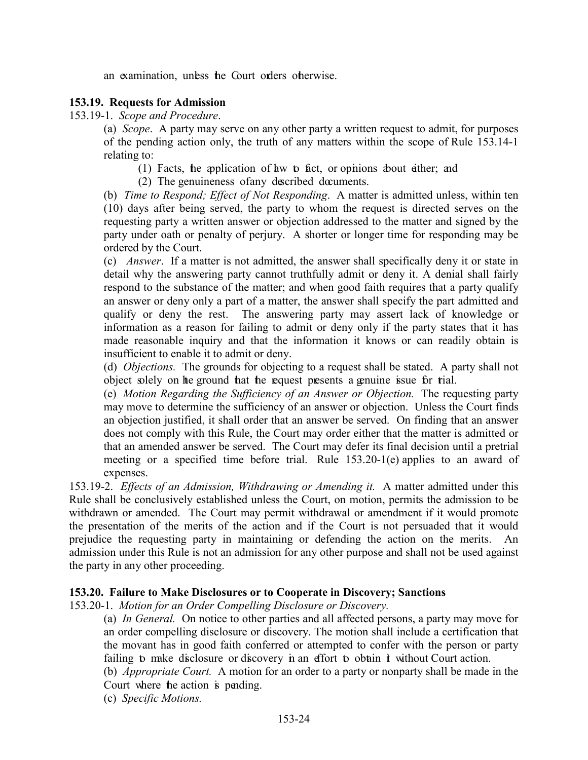an examination, unless the Court orders otherwise.

# <span id="page-24-0"></span>**153.19. Requests for Admission**

153.19-1. *Scope and Procedure*.

(a) *Scope*. A party may serve on any other party a written request to admit, for purposes of the pending action only, the truth of any matters within the scope of Rule 153.14-1 relating to:

(1) Facts, the application of law to fact, or opinions about either; and

(2) The genuineness of any described documents.

(b) *Time to Respond; Effect of Not Responding*. A matter is admitted unless, within ten (10) days after being served, the party to whom the request is directed serves on the requesting party a written answer or objection addressed to the matter and signed by the party under oath or penalty of perjury. A shorter or longer time for responding may be ordered by the Court.

(c) *Answer*. If a matter is not admitted, the answer shall specifically deny it or state in detail why the answering party cannot truthfully admit or deny it. A denial shall fairly respond to the substance of the matter; and when good faith requires that a party qualify an answer or deny only a part of a matter, the answer shall specify the part admitted and qualify or deny the rest. The answering party may assert lack of knowledge or information as a reason for failing to admit or deny only if the party states that it has made reasonable inquiry and that the information it knows or can readily obtain is insufficient to enable it to admit or deny.

(d) *Objections.* The grounds for objecting to a request shall be stated. A party shall not object solely on the ground that the request presents a genuine issue for trial.

(e) *Motion Regarding the Sufficiency of an Answer or Objection.* The requesting party may move to determine the sufficiency of an answer or objection. Unless the Court finds an objection justified, it shall order that an answer be served. On finding that an answer does not comply with this Rule, the Court may order either that the matter is admitted or that an amended answer be served. The Court may defer its final decision until a pretrial meeting or a specified time before trial. Rule 153.20-1(e) applies to an award of expenses.

153.19-2. *Effects of an Admission, Withdrawing or Amending it.* A matter admitted under this Rule shall be conclusively established unless the Court, on motion, permits the admission to be withdrawn or amended. The Court may permit withdrawal or amendment if it would promote the presentation of the merits of the action and if the Court is not persuaded that it would prejudice the requesting party in maintaining or defending the action on the merits. An admission under this Rule is not an admission for any other purpose and shall not be used against the party in any other proceeding.

#### <span id="page-24-1"></span>**153.20. Failure to Make Disclosures or to Cooperate in Discovery; Sanctions**

153.20-1. *Motion for an Order Compelling Disclosure or Discovery.* 

(a) *In General.* On notice to other parties and all affected persons, a party may move for an order compelling disclosure or discovery. The motion shall include a certification that the movant has in good faith conferred or attempted to confer with the person or party failing to make disclosure or discovery in an effort to obtain it without Court action.

(b) *Appropriate Court.* A motion for an order to a party or nonparty shall be made in the Court where the action is pending.

(c) *Specific Motions.*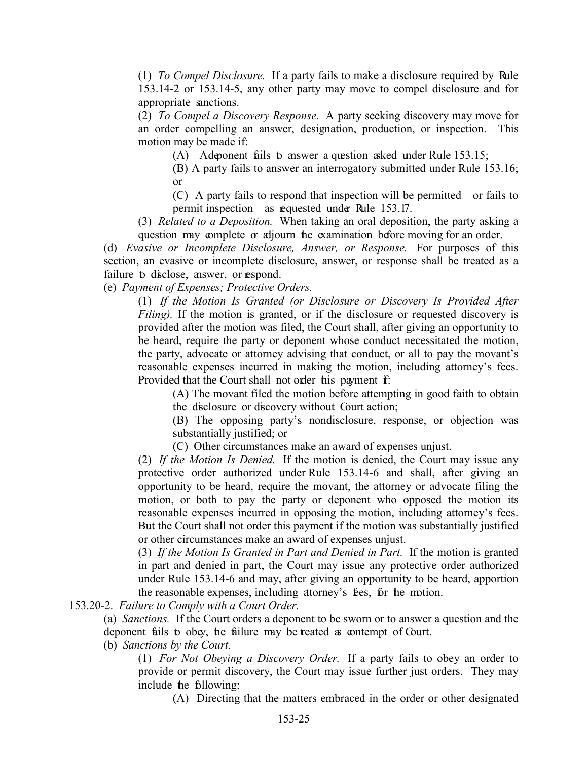(1) *To Compel Disclosure.* If a party fails to make a disclosure required by Rule 153.14-2 or 153.14-5, any other party may move to compel disclosure and for appropriate sanctions.

(2) *To Compel a Discovery Response.* A party seeking discovery may move for an order compelling an answer, designation, production, or inspection. This motion may be made if:

(A) A deponent fails to answer a question asked under Rule 153.15;

(B) A party fails to answer an interrogatory submitted under Rule 153.16; or

(C) A party fails to respond that inspection will be permitted—or fails to permit inspection—as requested under Rule 153.17.

(3) *Related to a Deposition.* When taking an oral deposition, the party asking a question may complete or adjourn the examination before moving for an order.

(d) *Evasive or Incomplete Disclosure, Answer, or Response.* For purposes of this section, an evasive or incomplete disclosure, answer, or response shall be treated as a failure to disclose, answer, or respond.

(e) *Payment of Expenses; Protective Orders.*

(1) *If the Motion Is Granted (or Disclosure or Discovery Is Provided After Filing*). If the motion is granted, or if the disclosure or requested discovery is provided after the motion was filed, the Court shall, after giving an opportunity to be heard, require the party or deponent whose conduct necessitated the motion, the party, advocate or attorney advising that conduct, or all to pay the movant's reasonable expenses incurred in making the motion, including attorney's fees. Provided that the Court shall not order his payment f:

(A) The movant filed the motion before attempting in good faith to obtain the disclosure or discovery without Court action;

(B) The opposing party's nondisclosure, response, or objection was substantially justified; or

(C) Other circumstances make an award of expenses unjust.

(2) *If the Motion Is Denied.* If the motion is denied, the Court may issue any protective order authorized under Rule 153.14-6 and shall, after giving an opportunity to be heard, require the movant, the attorney or advocate filing the motion, or both to pay the party or deponent who opposed the motion its reasonable expenses incurred in opposing the motion, including attorney's fees. But the Court shall not order this payment if the motion was substantially justified or other circumstances make an award of expenses unjust.

(3) *If the Motion Is Granted in Part and Denied in Part.* If the motion is granted in part and denied in part, the Court may issue any protective order authorized under Rule 153.14-6 and may, after giving an opportunity to be heard, apportion the reasonable expenses, including attorney's fees, for the motion.

153.20-2. *Failure to Comply with a Court Order.*

(a) *Sanctions.* If the Court orders a deponent to be sworn or to answer a question and the deponent fails to obey, the failure may be treated as contempt of Court.

(b) *Sanctions by the Court.*

(1) *For Not Obeying a Discovery Order.* If a party fails to obey an order to provide or permit discovery, the Court may issue further just orders. They may include the following:

(A) Directing that the matters embraced in the order or other designated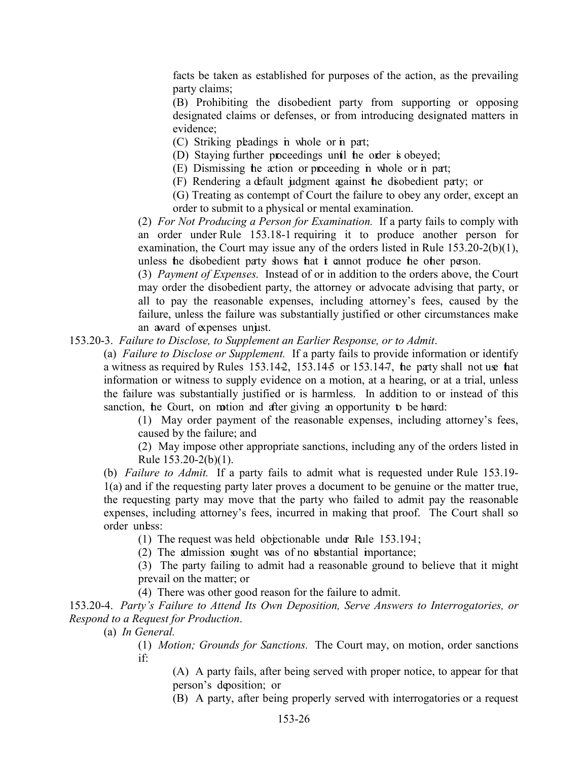facts be taken as established for purposes of the action, as the prevailing party claims;

(B) Prohibiting the disobedient party from supporting or opposing designated claims or defenses, or from introducing designated matters in evidence;

(C) Striking pleadings in whole or in part;

(D) Staying further proceedings until the order is obeyed;

(E) Dismissing the action or proceeding in whole or in part;

(F) Rendering a default judgment against the disobedient party; or

(G) Treating as contempt of Court the failure to obey any order, except an order to submit to a physical or mental examination.

(2) *For Not Producing a Person for Examination.* If a party fails to comply with an order under Rule 153.18-1 requiring it to produce another person for examination, the Court may issue any of the orders listed in Rule 153.20-2(b)(1), unless the disobedient party shows that it cannot produce the other person.

(3) *Payment of Expenses.* Instead of or in addition to the orders above, the Court may order the disobedient party, the attorney or advocate advising that party, or all to pay the reasonable expenses, including attorney's fees, caused by the failure, unless the failure was substantially justified or other circumstances make an award of expenses unjust.

#### 153.20-3. *Failure to Disclose, to Supplement an Earlier Response, or to Admit*.

(a) *Failure to Disclose or Supplement.* If a party fails to provide information or identify a witness as required by Rules 153.142, 153.145 or 153.14-7, the party shall not use that information or witness to supply evidence on a motion, at a hearing, or at a trial, unless the failure was substantially justified or is harmless. In addition to or instead of this sanction, he Court, on motion and after giving an opportunity to be heard:

(1) May order payment of the reasonable expenses, including attorney's fees, caused by the failure; and

(2) May impose other appropriate sanctions, including any of the orders listed in Rule 153.20-2(b)(1).

(b) *Failure to Admit.* If a party fails to admit what is requested under Rule 153.19- 1(a) and if the requesting party later proves a document to be genuine or the matter true, the requesting party may move that the party who failed to admit pay the reasonable expenses, including attorney's fees, incurred in making that proof. The Court shall so order unbss:

(1) The request was held objectionable under Rule  $153.194$ ;

(2) The admission sought was of no substantial importance;

(3) The party failing to admit had a reasonable ground to believe that it might prevail on the matter; or

(4) There was other good reason for the failure to admit.

153.20-4. *Party's Failure to Attend Its Own Deposition, Serve Answers to Interrogatories, or Respond to a Request for Production*.

(a) *In General.*

(1) *Motion; Grounds for Sanctions.* The Court may, on motion, order sanctions if:

(A) A party fails, after being served with proper notice, to appear for that person's deposition; or

(B) A party, after being properly served with interrogatories or a request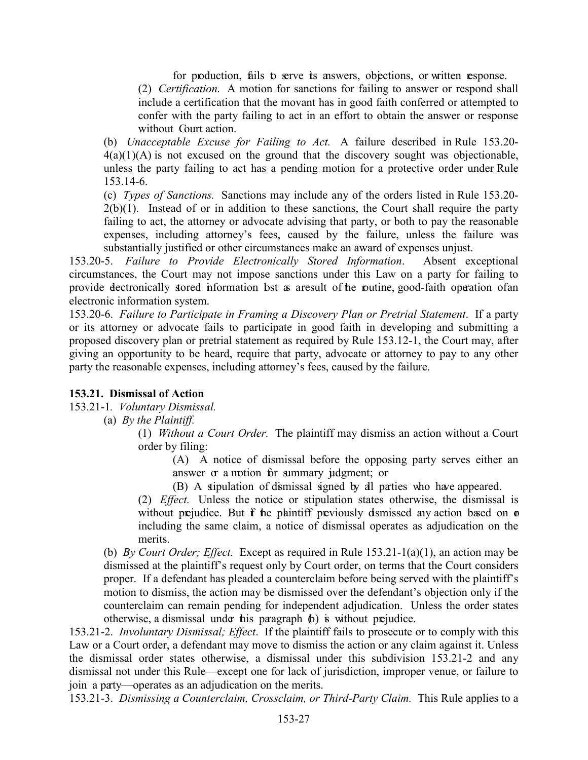for production, fails to serve its answers, objections, or written response.

(2) *Certification.* A motion for sanctions for failing to answer or respond shall include a certification that the movant has in good faith conferred or attempted to confer with the party failing to act in an effort to obtain the answer or response without Court action.

(b) *Unacceptable Excuse for Failing to Act.* A failure described in Rule 153.20-  $4(a)(1)(A)$  is not excused on the ground that the discovery sought was objectionable, unless the party failing to act has a pending motion for a protective order under Rule 153.14-6.

(c) *Types of Sanctions.* Sanctions may include any of the orders listed in Rule 153.20-  $2(b)(1)$ . Instead of or in addition to these sanctions, the Court shall require the party failing to act, the attorney or advocate advising that party, or both to pay the reasonable expenses, including attorney's fees, caused by the failure, unless the failure was substantially justified or other circumstances make an award of expenses unjust.

153.20-5. *Failure to Provide Electronically Stored Information*. Absent exceptional circumstances, the Court may not impose sanctions under this Law on a party for failing to provide dectronically stored information bst as a result of the puttine, good-faith operation of an electronic information system.

153.20-6. *Failure to Participate in Framing a Discovery Plan or Pretrial Statement*. If a party or its attorney or advocate fails to participate in good faith in developing and submitting a proposed discovery plan or pretrial statement as required by Rule 153.12-1, the Court may, after giving an opportunity to be heard, require that party, advocate or attorney to pay to any other party the reasonable expenses, including attorney's fees, caused by the failure.

# <span id="page-27-0"></span>**153.21. Dismissal of Action**

153.21-1*. Voluntary Dismissal.* 

(a) *By the Plaintiff.*

(1) *Without a Court Order.* The plaintiff may dismiss an action without a Court order by filing:

(A) A notice of dismissal before the opposing party serves either an answer  $\alpha$  a motion for summary judgment; or

(B) A stipulation of dismissal signed by all parties who have appeared.

(2) *Effect.* Unless the notice or stipulation states otherwise, the dismissal is without prejudice. But  $f$  he plaintiff previously dismissed any action based on  $\sigma$ including the same claim, a notice of dismissal operates as adjudication on the merits.

(b) *By Court Order; Effect.* Except as required in Rule 153.21-1(a)(1), an action may be dismissed at the plaintiff's request only by Court order, on terms that the Court considers proper. If a defendant has pleaded a counterclaim before being served with the plaintiff's motion to dismiss, the action may be dismissed over the defendant's objection only if the counterclaim can remain pending for independent adjudication. Unless the order states otherwise, a dismissal under this paragraph  $\phi$ ) is without prejudice.

153.21-2. *Involuntary Dismissal; Effect*. If the plaintiff fails to prosecute or to comply with this Law or a Court order, a defendant may move to dismiss the action or any claim against it. Unless the dismissal order states otherwise, a dismissal under this subdivision 153.21-2 and any dismissal not under this Rule—except one for lack of jurisdiction, improper venue, or failure to join a party—operates as an adjudication on the merits.

153.21-3. *Dismissing a Counterclaim, Crossclaim, or Third-Party Claim.* This Rule applies to a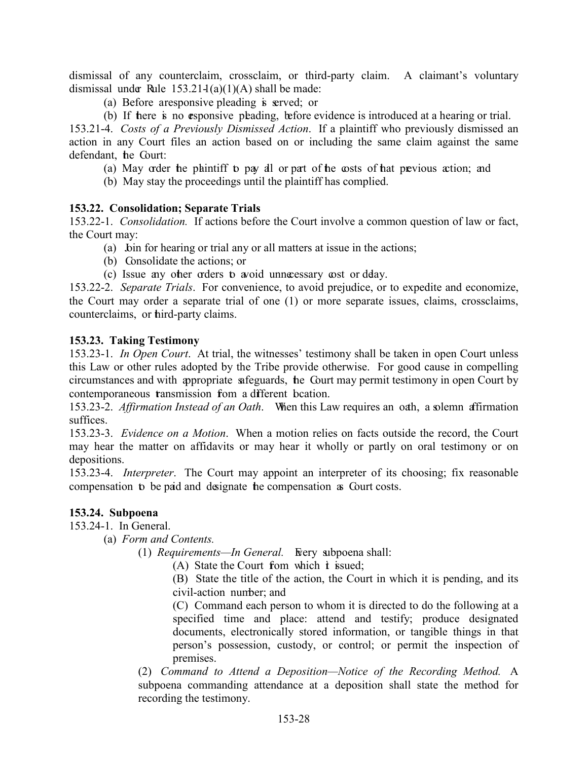dismissal of any counterclaim, crossclaim, or third-party claim. A claimant's voluntary dismissal under Rule  $153.21\frac{1}{a}(1)(A)$  shall be made:

- (a) Before aresponsive pleading is served; or
- (b) If there is no esponsive pleading, before evidence is introduced at a hearing or trial.

153.21-4. *Costs of a Previously Dismissed Action*. If a plaintiff who previously dismissed an action in any Court files an action based on or including the same claim against the same defendant, the Court:

- (a) May order the plaintiff to pay all or part of the costs of that previous action; and
- (b) May stay the proceedings until the plaintiff has complied.

#### <span id="page-28-0"></span>**153.22. Consolidation; Separate Trials**

153.22-1. *Consolidation.* If actions before the Court involve a common question of law or fact, the Court may:

- (a) bin for hearing or trial any or all matters at issue in the actions;
- (b) Consolidate the actions; or
- (c) Issue any other orders to avoid unnecessary cost or delay.

153.22-2. *Separate Trials*. For convenience, to avoid prejudice, or to expedite and economize, the Court may order a separate trial of one (1) or more separate issues, claims, crossclaims, counterclaims, or third-party claims.

# <span id="page-28-1"></span>**153.23. Taking Testimony**

153.23-1. *In Open Court*. At trial, the witnesses' testimony shall be taken in open Court unless this Law or other rules adopted by the Tribe provide otherwise. For good cause in compelling circumstances and with appropriate safeguards, the Court may permit testimony in open Court by contemporaneous transmission from a different beation.

153.23-2. *Affirmation Instead of an Oath*. When this Law requires an oath, a solemn affirmation suffices.

153.23-3. *Evidence on a Motion*. When a motion relies on facts outside the record, the Court may hear the matter on affidavits or may hear it wholly or partly on oral testimony or on depositions.

153.23-4. *Interpreter*. The Court may appoint an interpreter of its choosing; fix reasonable compensation to be paid and designate the compensation as Court costs.

# <span id="page-28-2"></span>**153.24. Subpoena**

153.24-1. In General.

- (a) *Form and Contents.*
	- (1) *Requirements—In General.* Fory subpoena shall:
		- (A) State the Court from which  $\dot{\mathbf{t}}$  issued;

(B) State the title of the action, the Court in which it is pending, and its civil-action number; and

(C) Command each person to whom it is directed to do the following at a specified time and place: attend and testify; produce designated documents, electronically stored information, or tangible things in that person's possession, custody, or control; or permit the inspection of premises.

(2) *Command to Attend a Deposition—Notice of the Recording Method.* A subpoena commanding attendance at a deposition shall state the method for recording the testimony.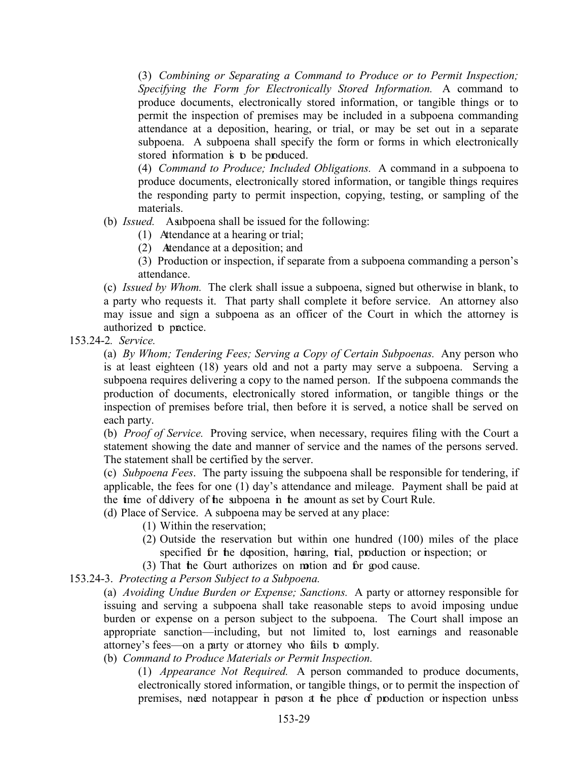(3) *Combining or Separating a Command to Produce or to Permit Inspection; Specifying the Form for Electronically Stored Information.* A command to produce documents, electronically stored information, or tangible things or to permit the inspection of premises may be included in a subpoena commanding attendance at a deposition, hearing, or trial, or may be set out in a separate subpoena. A subpoena shall specify the form or forms in which electronically stored information is to be produced.

(4) *Command to Produce; Included Obligations.* A command in a subpoena to produce documents, electronically stored information, or tangible things requires the responding party to permit inspection, copying, testing, or sampling of the materials.

- (b) *Issued.* A subpoena shall be issued for the following:
	- (1) Attendance at a hearing or trial;
	- (2) Attendance at a deposition; and
	- (3) Production or inspection, if separate from a subpoena commanding a person's attendance.

(c) *Issued by Whom.* The clerk shall issue a subpoena, signed but otherwise in blank, to a party who requests it. That party shall complete it before service. An attorney also may issue and sign a subpoena as an officer of the Court in which the attorney is authorized to practice.

153.24-2*. Service.*

(a) *By Whom; Tendering Fees; Serving a Copy of Certain Subpoenas.* Any person who is at least eighteen (18) years old and not a party may serve a subpoena. Serving a subpoena requires delivering a copy to the named person. If the subpoena commands the production of documents, electronically stored information, or tangible things or the inspection of premises before trial, then before it is served, a notice shall be served on each party.

(b) *Proof of Service.* Proving service, when necessary, requires filing with the Court a statement showing the date and manner of service and the names of the persons served. The statement shall be certified by the server.

(c) *Subpoena Fees*. The party issuing the subpoena shall be responsible for tendering, if applicable, the fees for one (1) day's attendance and mileage. Payment shall be paid at the time of delivery of the subpoena in the amount as set by Court Rule.

(d) Place of Service. A subpoena may be served at any place:

- (1) Within the reservation;
- (2) Outside the reservation but within one hundred (100) miles of the place specified for the deposition, hearing, trial, production or inspection; or
- (3) That the Court authorizes on motion and for good cause.

153.24-3. *Protecting a Person Subject to a Subpoena.* 

(a) *Avoiding Undue Burden or Expense; Sanctions.* A party or attorney responsible for issuing and serving a subpoena shall take reasonable steps to avoid imposing undue burden or expense on a person subject to the subpoena. The Court shall impose an appropriate sanction—including, but not limited to, lost earnings and reasonable attorney's fees—on a party or attorney who fails to comply.

(b) *Command to Produce Materials or Permit Inspection.*

(1) *Appearance Not Required.* A person commanded to produce documents, electronically stored information, or tangible things, or to permit the inspection of premises, need not appear in person at the place of production or inspection unless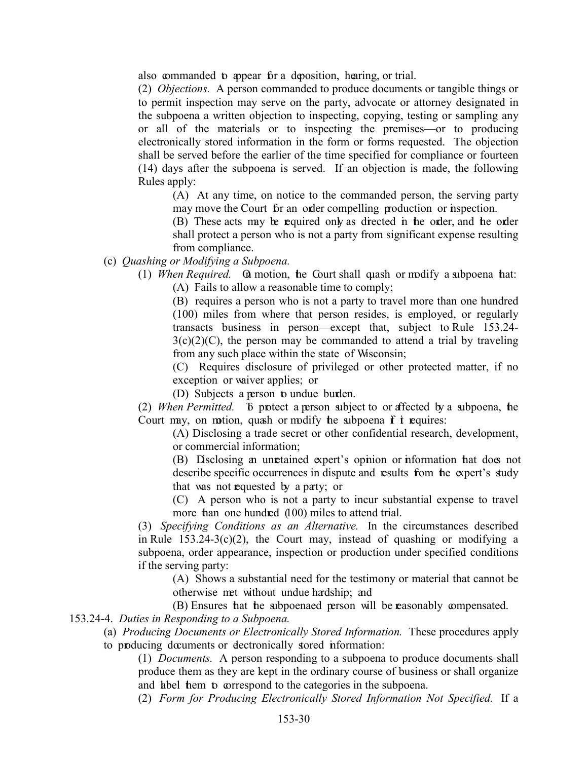also commanded to appear for a deposition, hearing, or trial.

(2) *Objections.* A person commanded to produce documents or tangible things or to permit inspection may serve on the party, advocate or attorney designated in the subpoena a written objection to inspecting, copying, testing or sampling any or all of the materials or to inspecting the premises—or to producing electronically stored information in the form or forms requested. The objection shall be served before the earlier of the time specified for compliance or fourteen (14) days after the subpoena is served. If an objection is made, the following Rules apply:

(A) At any time, on notice to the commanded person, the serving party may move the Court for an order compelling production or inspection.

(B) These acts may be required only as directed in the order, and the order shall protect a person who is not a party from significant expense resulting from compliance.

- (c) *Quashing or Modifying a Subpoena.*
	- (1) *When Required.* On motion, the Court shall quash or modify a subpoena that: (A) Fails to allow a reasonable time to comply;

(B) requires a person who is not a party to travel more than one hundred (100) miles from where that person resides, is employed, or regularly transacts business in person—except that, subject to Rule 153.24-  $3(c)(2)(C)$ , the person may be commanded to attend a trial by traveling from any such place within the state of Wisconsin;

(C) Requires disclosure of privileged or other protected matter, if no exception or waiver applies; or

(D) Subjects a person to undue burden.

(2) *When Permitted.* To protect a person subject to or affected by a subpoena, the Court may, on motion, quash or modify the subpoena  $\mathbf f$  it requires:

(A) Disclosing a trade secret or other confidential research, development, or commercial information;

(B) Disclosing an unretained expert's opinion or information that does not describe specific occurrences in dispute and results from the expert's study that was not requested by a party; or

(C) A person who is not a party to incur substantial expense to travel more than one hundred (100) miles to attend trial.

(3) *Specifying Conditions as an Alternative.* In the circumstances described in Rule  $153.24-3(c)(2)$ , the Court may, instead of quashing or modifying a subpoena, order appearance, inspection or production under specified conditions if the serving party:

(A) Shows a substantial need for the testimony or material that cannot be otherwise met without undue hardship; and

(B) Ensures that the subpoenaed person will be reasonably compensated.

153.24-4. *Duties in Responding to a Subpoena.*

- (a) *Producing Documents or Electronically Stored Information.* These procedures apply
- to producing documents or dectronically stored information:

(1) *Documents.* A person responding to a subpoena to produce documents shall produce them as they are kept in the ordinary course of business or shall organize and label them to correspond to the categories in the subpoena.

(2) *Form for Producing Electronically Stored Information Not Specified.* If a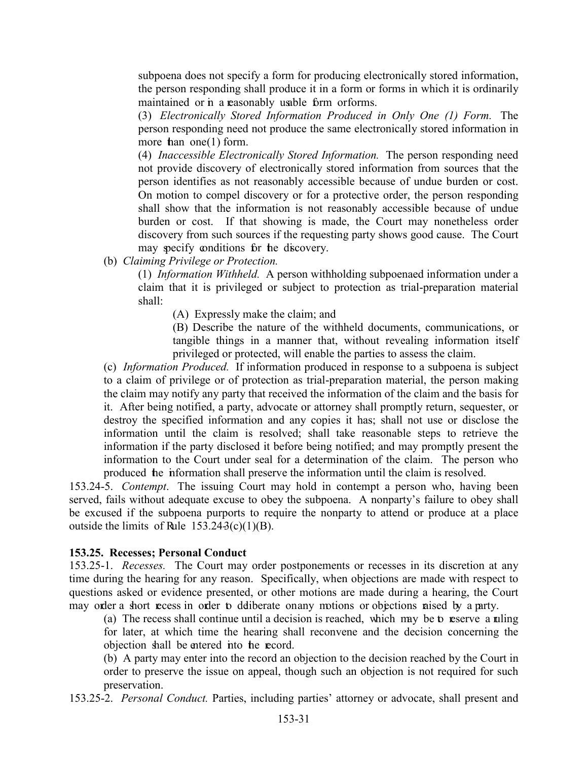subpoena does not specify a form for producing electronically stored information, the person responding shall produce it in a form or forms in which it is ordinarily maintained or in a reasonably usable form or forms.

(3) *Electronically Stored Information Produced in Only One (1) Form.* The person responding need not produce the same electronically stored information in more than one  $(1)$  form.

(4) *Inaccessible Electronically Stored Information.* The person responding need not provide discovery of electronically stored information from sources that the person identifies as not reasonably accessible because of undue burden or cost. On motion to compel discovery or for a protective order, the person responding shall show that the information is not reasonably accessible because of undue burden or cost. If that showing is made, the Court may nonetheless order discovery from such sources if the requesting party shows good cause. The Court may specify conditions for the discovery.

(b) *Claiming Privilege or Protection.*

(1) *Information Withheld.* A person withholding subpoenaed information under a claim that it is privileged or subject to protection as trial-preparation material shall:

(A) Expressly make the claim; and

(B) Describe the nature of the withheld documents, communications, or tangible things in a manner that, without revealing information itself privileged or protected, will enable the parties to assess the claim.

(c) *Information Produced.* If information produced in response to a subpoena is subject to a claim of privilege or of protection as trial-preparation material, the person making the claim may notify any party that received the information of the claim and the basis for it. After being notified, a party, advocate or attorney shall promptly return, sequester, or destroy the specified information and any copies it has; shall not use or disclose the information until the claim is resolved; shall take reasonable steps to retrieve the information if the party disclosed it before being notified; and may promptly present the information to the Court under seal for a determination of the claim. The person who produced the information shall preserve the information until the claim is resolved.

153.24-5. *Contempt*. The issuing Court may hold in contempt a person who, having been served, fails without adequate excuse to obey the subpoena. A nonparty's failure to obey shall be excused if the subpoena purports to require the nonparty to attend or produce at a place outside the limits of Rule  $153.243(c)(1)(B)$ .

#### <span id="page-31-0"></span>**153.25. Recesses; Personal Conduct**

153.25-1. *Recesses.* The Court may order postponements or recesses in its discretion at any time during the hearing for any reason. Specifically, when objections are made with respect to questions asked or evidence presented, or other motions are made during a hearing, the Court may order a short recess in order to deliberate on any motions or objections raised by a party.

(a) The recess shall continue until a decision is reached, which may be to reserve a ruling for later, at which time the hearing shall reconvene and the decision concerning the objection shall be entered into the record.

(b) A party may enter into the record an objection to the decision reached by the Court in order to preserve the issue on appeal, though such an objection is not required for such preservation.

153.25-2. *Personal Conduct.* Parties, including parties' attorney or advocate, shall present and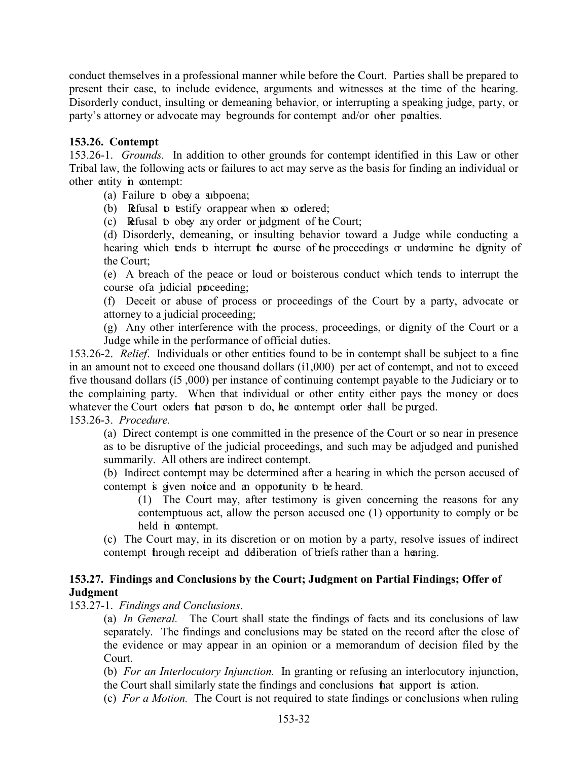conduct themselves in a professional manner while before the Court. Parties shall be prepared to present their case, to include evidence, arguments and witnesses at the time of the hearing. Disorderly conduct, insulting or demeaning behavior, or interrupting a speaking judge, party, or party's attorney or advocate may be grounds for contempt and/or other penalties.

# <span id="page-32-0"></span>**153.26. Contempt**

153.26-1.*Grounds.* In addition to other grounds for contempt identified in this Law or other Tribal law, the following acts or failures to act may serve as the basis for finding an individual or other entity in contempt:

(a) Failure to obey a subpoena;

(b) Refusal to testify or appear when so ordered;

(c) Refusal to obey any order or judgment of the Court;

(d) Disorderly, demeaning, or insulting behavior toward a Judge while conducting a hearing which tends to interrupt the course of the proceedings or undermine the dignity of the Court;

(e) A breach of the peace or loud or boisterous conduct which tends to interrupt the course of a judicial proceeding;

(f) Deceit or abuse of process or proceedings of the Court by a party, advocate or attorney to a judicial proceeding;

(g) Any other interference with the process, proceedings, or dignity of the Court or a Judge while in the performance of official duties.

153.26-2. *Relief*. Individuals or other entities found to be in contempt shall be subject to a fine in an amount not to exceed one thousand dollars  $(11,000)$  per act of contempt, and not to exceed five thousand dollars (15,000) per instance of continuing contempt payable to the Judiciary or to the complaining party. When that individual or other entity either pays the money or does whatever the Court orders hat person to do, the contempt order shall be purged.

153.26-3. *Procedure.*

(a) Direct contempt is one committed in the presence of the Court or so near in presence as to be disruptive of the judicial proceedings, and such may be adjudged and punished summarily. All others are indirect contempt.

(b) Indirect contempt may be determined after a hearing in which the person accused of contempt is given notice and an opportunity to be heard.

(1) The Court may, after testimony is given concerning the reasons for any contemptuous act, allow the person accused one (1) opportunity to comply or be held in contempt.

(c) The Court may, in its discretion or on motion by a party, resolve issues of indirect contempt through receipt and deliberation of briefs rather than a hearing.

# <span id="page-32-1"></span>**153.27. Findings and Conclusions by the Court; Judgment on Partial Findings; Offer of Judgment**

153.27-1. *Findings and Conclusions*.

(a) *In General.* The Court shall state the findings of facts and its conclusions of law separately. The findings and conclusions may be stated on the record after the close of the evidence or may appear in an opinion or a memorandum of decision filed by the Court.

(b) *For an Interlocutory Injunction.* In granting or refusing an interlocutory injunction, the Court shall similarly state the findings and conclusions that support its action.

(c) *For a Motion.* The Court is not required to state findings or conclusions when ruling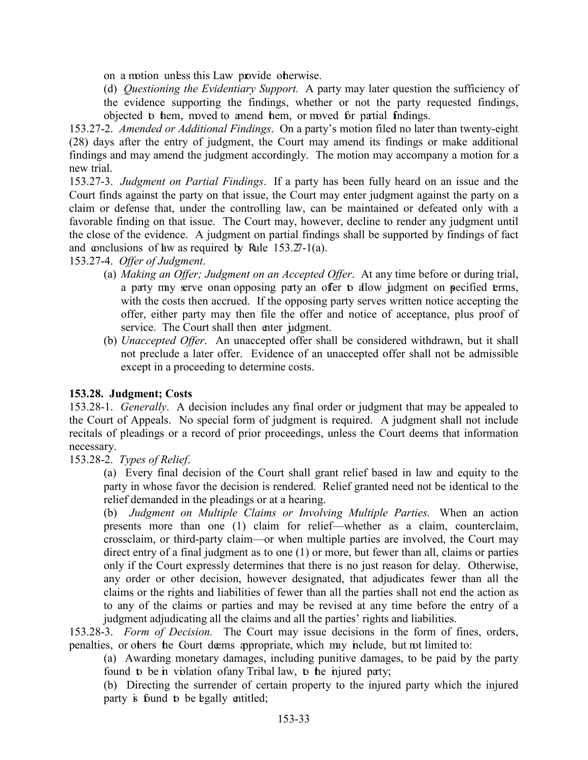- on a motion unless this Law provide otherwise.
- (d) *Questioning the Evidentiary Support.* A party may later question the sufficiency of the evidence supporting the findings, whether or not the party requested findings, objected to them, moved to amend them, or moved for partial findings.

153.27-2. *Amended or Additional Findings*. On a party's motion filed no later than twenty-eight (28) days after the entry of judgment, the Court may amend its findings or make additional findings and may amend the judgment accordingly. The motion may accompany a motion for a new trial.

153.27-3. *Judgment on Partial Findings*. If a party has been fully heard on an issue and the Court finds against the party on that issue, the Court may enter judgment against the party on a claim or defense that, under the controlling law, can be maintained or defeated only with a favorable finding on that issue. The Court may, however, decline to render any judgment until the close of the evidence. A judgment on partial findings shall be supported by findings of fact and conclusions of have as required by Rule  $153.27-1(a)$ .

153.27-4. *Offer of Judgment*.

- (a) *Making an Offer; Judgment on an Accepted Offer*. At any time before or during trial, a party may serve on an opposing party an offer to allow judgment on pecified terms, with the costs then accrued. If the opposing party serves written notice accepting the offer, either party may then file the offer and notice of acceptance, plus proof of service. The Court shall then enter judgment.
- (b) *Unaccepted Offer*. An unaccepted offer shall be considered withdrawn, but it shall not preclude a later offer. Evidence of an unaccepted offer shall not be admissible except in a proceeding to determine costs.

# <span id="page-33-0"></span>**153.28. Judgment; Costs**

153.28-1. *Generally*. A decision includes any final order or judgment that may be appealed to the Court of Appeals. No special form of judgment is required. A judgment shall not include recitals of pleadings or a record of prior proceedings, unless the Court deems that information necessary.

153.28-2. *Types of Relief*.

(a) Every final decision of the Court shall grant relief based in law and equity to the party in whose favor the decision is rendered. Relief granted need not be identical to the relief demanded in the pleadings or at a hearing.

(b) *Judgment on Multiple Claims or Involving Multiple Parties.* When an action presents more than one (1) claim for relief—whether as a claim, counterclaim, crossclaim, or third-party claim—or when multiple parties are involved, the Court may direct entry of a final judgment as to one (1) or more, but fewer than all, claims or parties only if the Court expressly determines that there is no just reason for delay. Otherwise, any order or other decision, however designated, that adjudicates fewer than all the claims or the rights and liabilities of fewer than all the parties shall not end the action as to any of the claims or parties and may be revised at any time before the entry of a judgment adjudicating all the claims and all the parties' rights and liabilities.

153.28-3. *Form of Decision.* The Court may issue decisions in the form of fines, orders, penalties, or others the Court deems appropriate, which may include, but not limited to:

(a) Awarding monetary damages, including punitive damages, to be paid by the party found to be in violation of any Tribal law, to the injured party;

(b) Directing the surrender of certain property to the injured party which the injured party is found to be egally entitled;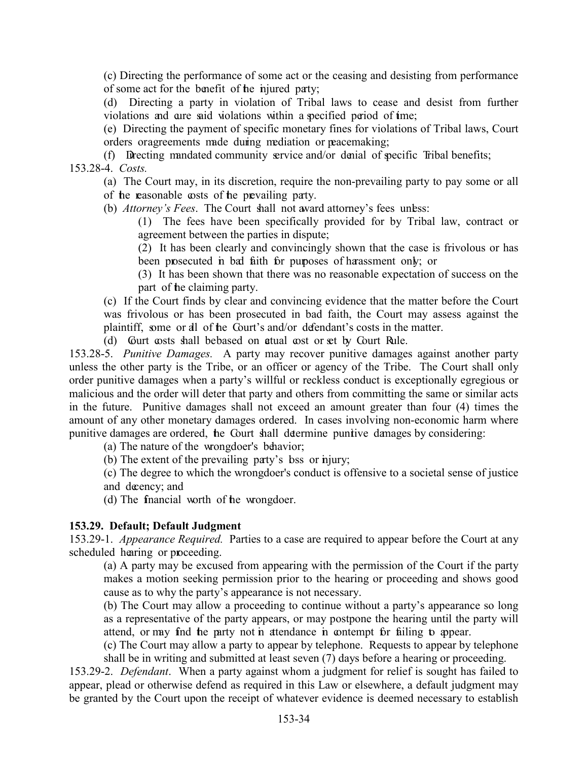(c) Directing the performance of some act or the ceasing and desisting from performance of some act for the benefit of the injured party;

(d) Directing a party in violation of Tribal laws to cease and desist from further violations and are said violations within a specified period of time;

(e) Directing the payment of specific monetary fines for violations of Tribal laws, Court orders or agreements made during mediation or peacemaking;

(f) Directing mandated community service and/or denial of specific Tribal benefits;

153.28-4. *Costs.*

(a) The Court may, in its discretion, require the non-prevailing party to pay some or all of the reasonable costs of the prevailing party.

(b) *Attorney's Fees*. The Court shall not award attorney's fees unless:

(1) The fees have been specifically provided for by Tribal law, contract or agreement between the parties in dispute;

(2) It has been clearly and convincingly shown that the case is frivolous or has been prosecuted in bad faith for purposes of harassment only; or

(3) It has been shown that there was no reasonable expectation of success on the part of the claiming party.

(c) If the Court finds by clear and convincing evidence that the matter before the Court was frivolous or has been prosecuted in bad faith, the Court may assess against the plaintiff, some or all of the Court's and/or defendant's costs in the matter.

(d) Gurt costs shall be based on atual cost or set by Court Rule.

153.28-5. *Punitive Damages.* A party may recover punitive damages against another party unless the other party is the Tribe, or an officer or agency of the Tribe. The Court shall only order punitive damages when a party's willful or reckless conduct is exceptionally egregious or malicious and the order will deter that party and others from committing the same or similar acts in the future. Punitive damages shall not exceed an amount greater than four (4) times the amount of any other monetary damages ordered. In cases involving non-economic harm where punitive damages are ordered, the Court shall determine punitive damages by considering:

(a) The nature of the wrongdoer's behavior;

(b) The extent of the prevailing party's bss or nighty;

(c) The degree to which the wrongdoer's conduct is offensive to a societal sense of justice and decency; and

(d) The financial worth of the wrongdoer.

#### <span id="page-34-0"></span>**153.29. Default; Default Judgment**

153.29-1. *Appearance Required.* Parties to a case are required to appear before the Court at any scheduled hearing or proceeding.

(a) A party may be excused from appearing with the permission of the Court if the party makes a motion seeking permission prior to the hearing or proceeding and shows good cause as to why the party's appearance is not necessary.

(b) The Court may allow a proceeding to continue without a party's appearance so long as a representative of the party appears, or may postpone the hearing until the party will attend, or may find the party not in attendance in contempt for failing to appear.

(c) The Court may allow a party to appear by telephone. Requests to appear by telephone shall be in writing and submitted at least seven (7) days before a hearing or proceeding.

153.29-2. *Defendant*. When a party against whom a judgment for relief is sought has failed to appear, plead or otherwise defend as required in this Law or elsewhere, a default judgment may be granted by the Court upon the receipt of whatever evidence is deemed necessary to establish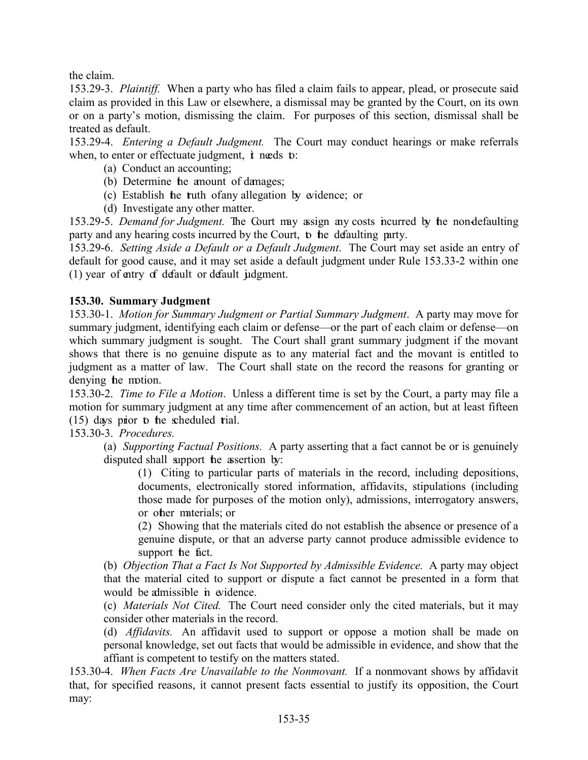the claim.

153.29-3. *Plaintiff.* When a party who has filed a claim fails to appear, plead, or prosecute said claim as provided in this Law or elsewhere, a dismissal may be granted by the Court, on its own or on a party's motion, dismissing the claim. For purposes of this section, dismissal shall be treated as default.

153.29-4. *Entering a Default Judgment.* The Court may conduct hearings or make referrals when, to enter or effectuate judgment, t needs to:

- (a) Conduct an accounting;
- (b) Determine the amount of damages;
- (c) Establish the truth of any allegation by evidence; or
- (d) Investigate any other matter.

153.29-5. *Demand for Judgment.* The Court may assign any costs incurred by the non-defaulting party and any hearing costs incurred by the Court, to the defaulting party.

153.29-6. *Setting Aside a Default or a Default Judgment*. The Court may set aside an entry of default for good cause, and it may set aside a default judgment under Rule 153.33-2 within one (1) year of entry of default or default judgment.

# <span id="page-35-0"></span>**153.30. Summary Judgment**

153.30-1. *Motion for Summary Judgment or Partial Summary Judgment*. A party may move for summary judgment, identifying each claim or defense—or the part of each claim or defense—on which summary judgment is sought. The Court shall grant summary judgment if the movant shows that there is no genuine dispute as to any material fact and the movant is entitled to judgment as a matter of law. The Court shall state on the record the reasons for granting or denying the motion.

153.30-2. *Time to File a Motion*. Unless a different time is set by the Court, a party may file a motion for summary judgment at any time after commencement of an action, but at least fifteen  $(15)$  days prior to the scheduled trial.

153.30-3. *Procedures.*

(a) *Supporting Factual Positions.* A party asserting that a fact cannot be or is genuinely disputed shall support the assertion by:

(1) Citing to particular parts of materials in the record, including depositions, documents, electronically stored information, affidavits, stipulations (including those made for purposes of the motion only), admissions, interrogatory answers, or other materials; or

(2) Showing that the materials cited do not establish the absence or presence of a genuine dispute, or that an adverse party cannot produce admissible evidence to support he fact.

(b) *Objection That a Fact Is Not Supported by Admissible Evidence.* A party may object that the material cited to support or dispute a fact cannot be presented in a form that would be almissible in evidence.

(c) *Materials Not Cited.* The Court need consider only the cited materials, but it may consider other materials in the record.

(d) *Affidavits.* An affidavit used to support or oppose a motion shall be made on personal knowledge, set out facts that would be admissible in evidence, and show that the affiant is competent to testify on the matters stated.

153.30-4. *When Facts Are Unavailable to the Nonmovant.* If a nonmovant shows by affidavit that, for specified reasons, it cannot present facts essential to justify its opposition, the Court may: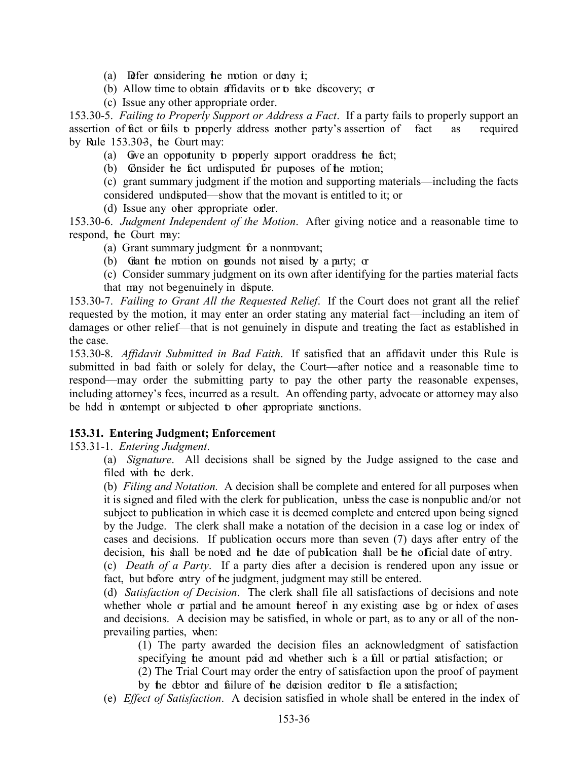- (a) Defer considering the motion or deny  $\dot{\mathbf{r}}$ ;
- (b) Allow time to obtain affidavits or to take discovery; or
- (c) Issue any other appropriate order.

153.30-5. *Failing to Properly Support or Address a Fact*. If a party fails to properly support an assertion of fact or fails to properly address another party's assertion of fact as required by Rule  $153.303$ , the Court may:

- (a) Give an opportunity to properly support or address the fact;
- (b) Consider the fact undisputed for purposes of the motion;

(c) grant summary judgment if the motion and supporting materials—including the facts considered undisputed—show that the movant is entitled to it; or

(d) Issue any other appropriate order.

153.30-6. *Judgment Independent of the Motion*. After giving notice and a reasonable time to respond, the Court may:

- (a) Grant summary judgment for a nonmovant;
- (b) Giant the motion on gounds not raised by a party;  $\alpha$
- (c) Consider summary judgment on its own after identifying for the parties material facts that may not be genuinely in dispute.

153.30-7. *Failing to Grant All the Requested Relief*. If the Court does not grant all the relief requested by the motion, it may enter an order stating any material fact—including an item of damages or other relief—that is not genuinely in dispute and treating the fact as established in the case.

153.30-8. *Affidavit Submitted in Bad Faith*. If satisfied that an affidavit under this Rule is submitted in bad faith or solely for delay, the Court—after notice and a reasonable time to respond—may order the submitting party to pay the other party the reasonable expenses, including attorney's fees, incurred as a result. An offending party, advocate or attorney may also be held in contempt or subjected to other appropriate sanctions.

#### <span id="page-36-0"></span>**153.31. Entering Judgment; Enforcement**

#### 153.31-1. *Entering Judgment*.

(a) *Signature*. All decisions shall be signed by the Judge assigned to the case and filed with the derk.

(b) *Filing and Notation.* A decision shall be complete and entered for all purposes when it is signed and filed with the clerk for publication, unless the case is nonpublic and/or not subject to publication in which case it is deemed complete and entered upon being signed by the Judge. The clerk shall make a notation of the decision in a case log or index of cases and decisions. If publication occurs more than seven (7) days after entry of the decision, his shall be noted and the date of publication shall be the official date of entry.

(c) *Death of a Party*. If a party dies after a decision is rendered upon any issue or fact, but before entry of the judgment, judgment may still be entered.

(d) *Satisfaction of Decision*. The clerk shall file all satisfactions of decisions and note whether whole or partial and the amount thereof in any existing case bg or index of cases and decisions. A decision may be satisfied, in whole or part, as to any or all of the nonprevailing parties, when:

(1) The party awarded the decision files an acknowledgment of satisfaction specifying the amount paid and whether such is a full or partial satisfaction; or

(2) The Trial Court may order the entry of satisfaction upon the proof of payment by the debtor and failure of the decision creditor to file a satisfaction;

(e) *Effect of Satisfaction*. A decision satisfied in whole shall be entered in the index of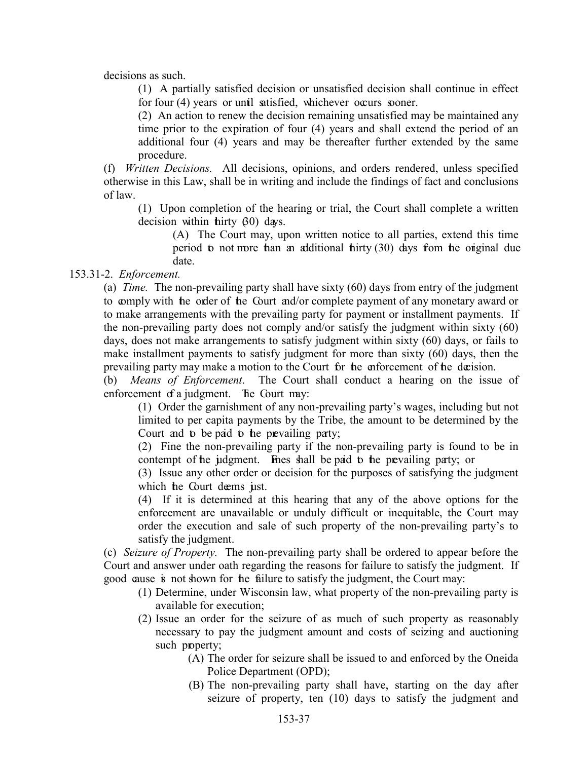decisions as such.

(1) A partially satisfied decision or unsatisfied decision shall continue in effect for four (4) years or until satisfied, whichever occurs sooner.

(2) An action to renew the decision remaining unsatisfied may be maintained any time prior to the expiration of four (4) years and shall extend the period of an additional four (4) years and may be thereafter further extended by the same procedure.

(f) *Written Decisions.* All decisions, opinions, and orders rendered, unless specified otherwise in this Law, shall be in writing and include the findings of fact and conclusions of law.

(1) Upon completion of the hearing or trial, the Court shall complete a written decision within thirty  $\beta$ <sup>0</sup>) days.

(A) The Court may, upon written notice to all parties, extend this time period to not more than an additional thirty  $(30)$  days from the original due date.

153.31-2. *Enforcement.* 

(a) *Time.* The non-prevailing party shall have sixty (60) days from entry of the judgment to comply with the order of the Court and/or complete payment of any monetary award or to make arrangements with the prevailing party for payment or installment payments. If the non-prevailing party does not comply and/or satisfy the judgment within sixty (60) days, does not make arrangements to satisfy judgment within sixty (60) days, or fails to make installment payments to satisfy judgment for more than sixty (60) days, then the prevailing party may make a motion to the Court for the enforcement of the decision.

(b) *Means of Enforcement*. The Court shall conduct a hearing on the issue of enforcement of a judgment. The Court may:

(1) Order the garnishment of any non-prevailing party's wages, including but not limited to per capita payments by the Tribe, the amount to be determined by the Court and to be paid to the prevailing party;

(2) Fine the non-prevailing party if the non-prevailing party is found to be in contempt of the judgment. Fines shall be paid to the prevailing party; or

(3) Issue any other order or decision for the purposes of satisfying the judgment which the Court deems just.

(4) If it is determined at this hearing that any of the above options for the enforcement are unavailable or unduly difficult or inequitable, the Court may order the execution and sale of such property of the non-prevailing party's to satisfy the judgment.

(c) *Seizure of Property.* The non-prevailing party shall be ordered to appear before the Court and answer under oath regarding the reasons for failure to satisfy the judgment. If good cause is not shown for the failure to satisfy the judgment, the Court may:

- (1) Determine, under Wisconsin law, what property of the non-prevailing party is available for execution;
- (2) Issue an order for the seizure of as much of such property as reasonably necessary to pay the judgment amount and costs of seizing and auctioning such property;
	- (A) The order for seizure shall be issued to and enforced by the Oneida Police Department (OPD);
	- (B) The non-prevailing party shall have, starting on the day after seizure of property, ten (10) days to satisfy the judgment and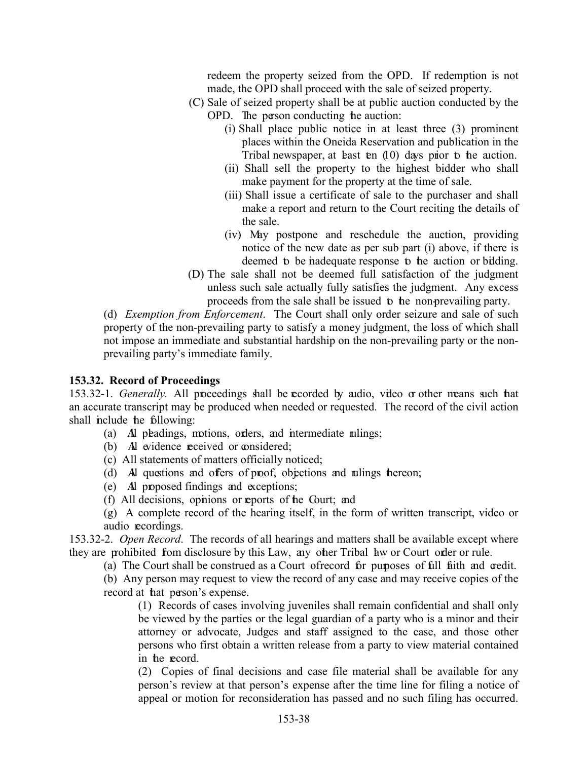redeem the property seized from the OPD. If redemption is not made, the OPD shall proceed with the sale of seized property.

- (C) Sale of seized property shall be at public auction conducted by the OPD. The person conducting the auction:
	- (i) Shall place public notice in at least three (3) prominent places within the Oneida Reservation and publication in the Tribal newspaper, at least ten  $(10)$  days prior to the auction.
	- (ii) Shall sell the property to the highest bidder who shall make payment for the property at the time of sale.
	- (iii) Shall issue a certificate of sale to the purchaser and shall make a report and return to the Court reciting the details of the sale.
	- (iv) May postpone and reschedule the auction, providing notice of the new date as per sub part (i) above, if there is deemed to be inadequate response to the auction or bilding.
- (D) The sale shall not be deemed full satisfaction of the judgment unless such sale actually fully satisfies the judgment. Any excess proceeds from the sale shall be issued to the non-prevailing party.

(d) *Exemption from Enforcement*. The Court shall only order seizure and sale of such property of the non-prevailing party to satisfy a money judgment, the loss of which shall not impose an immediate and substantial hardship on the non-prevailing party or the nonprevailing party's immediate family.

#### <span id="page-38-0"></span>**153.32. Record of Proceedings**

153.32-1. *Generally.* All proceedings shall be recorded by audio, video or other means such that an accurate transcript may be produced when needed or requested. The record of the civil action shall include the following:

- (a) Al pleadings, motions, orders, and intermediate rulings;
- (b) All widence received or considered;
- (c) All statements of matters officially noticed;
- (d) Al questions and offers of proof, objections and rulings thereon;
- (e) All proposed findings and exceptions;
- (f) All decisions, opinions or reports of the Court; and

(g) A complete record of the hearing itself, in the form of written transcript, video or audio recordings.

153.32-2. *Open Record*. The records of all hearings and matters shall be available except where they are prohibited from disclosure by this Law, any other Tribal law or Court order or rule.

(a) The Court shall be construed as a Court of record for purposes of full faith and credit.

(b) Any person may request to view the record of any case and may receive copies of the record at **hat** person's expense.

(1) Records of cases involving juveniles shall remain confidential and shall only be viewed by the parties or the legal guardian of a party who is a minor and their attorney or advocate, Judges and staff assigned to the case, and those other persons who first obtain a written release from a party to view material contained in the record.

(2) Copies of final decisions and case file material shall be available for any person's review at that person's expense after the time line for filing a notice of appeal or motion for reconsideration has passed and no such filing has occurred.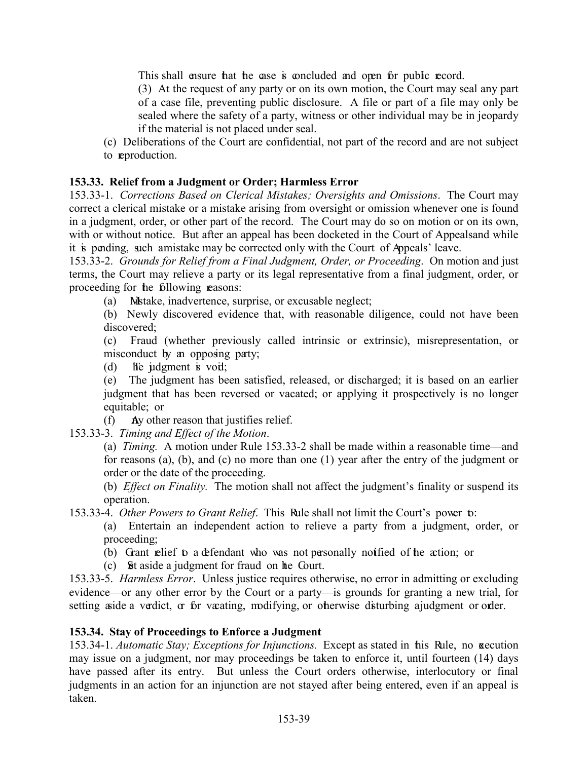This shall ensure that the case is concluded and open for public record.

(3) At the request of any party or on its own motion, the Court may seal any part of a case file, preventing public disclosure. A file or part of a file may only be sealed where the safety of a party, witness or other individual may be in jeopardy if the material is not placed under seal.

(c) Deliberations of the Court are confidential, not part of the record and are not subject to reproduction.

# <span id="page-39-0"></span>**153.33. Relief from a Judgment or Order; Harmless Error**

153.33-1. *Corrections Based on Clerical Mistakes; Oversights and Omissions*. The Court may correct a clerical mistake or a mistake arising from oversight or omission whenever one is found in a judgment, order, or other part of the record. The Court may do so on motion or on its own, with or without notice. But after an appeal has been docketed in the Court of Appealsand while it is pending, such a mistake may be corrected only with the Court of Appeals' leave.

153.33-2. *Grounds for Relief from a Final Judgment, Order, or Proceeding*. On motion and just terms, the Court may relieve a party or its legal representative from a final judgment, order, or proceeding for the following reasons:

(a) Mistake, inadvertence, surprise, or excusable neglect;

(b) Newly discovered evidence that, with reasonable diligence, could not have been discovered;

(c) Fraud (whether previously called intrinsic or extrinsic), misrepresentation, or misconduct by an opposing party;

(d) He judgment is void;

(e) The judgment has been satisfied, released, or discharged; it is based on an earlier judgment that has been reversed or vacated; or applying it prospectively is no longer equitable; or

 $(f)$  Ay other reason that justifies relief.

153.33-3. *Timing and Effect of the Motion*.

(a) *Timing.* A motion under Rule 153.33-2 shall be made within a reasonable time—and for reasons (a), (b), and (c) no more than one (1) year after the entry of the judgment or order or the date of the proceeding.

(b) *Effect on Finality.* The motion shall not affect the judgment's finality or suspend its operation.

153.33-4. *Other Powers to Grant Relief*. This Rule shall not limit the Court's power to:

(a) Entertain an independent action to relieve a party from a judgment, order, or proceeding;

(b) Grant relief to a defendant who was not personally notified of the action; or

(c) Set aside a judgment for fraud on the Court.

153.33-5. *Harmless Error*. Unless justice requires otherwise, no error in admitting or excluding evidence—or any other error by the Court or a party—is grounds for granting a new trial, for setting aside a verdict, or for vacating, modifying, or otherwise disturbing a judgment or order.

#### <span id="page-39-1"></span>**153.34. Stay of Proceedings to Enforce a Judgment**

153.34-1. *Automatic Stay; Exceptions for Injunctions.* Except as stated in this Rule, no execution may issue on a judgment, nor may proceedings be taken to enforce it, until fourteen (14) days have passed after its entry. But unless the Court orders otherwise, interlocutory or final judgments in an action for an injunction are not stayed after being entered, even if an appeal is taken.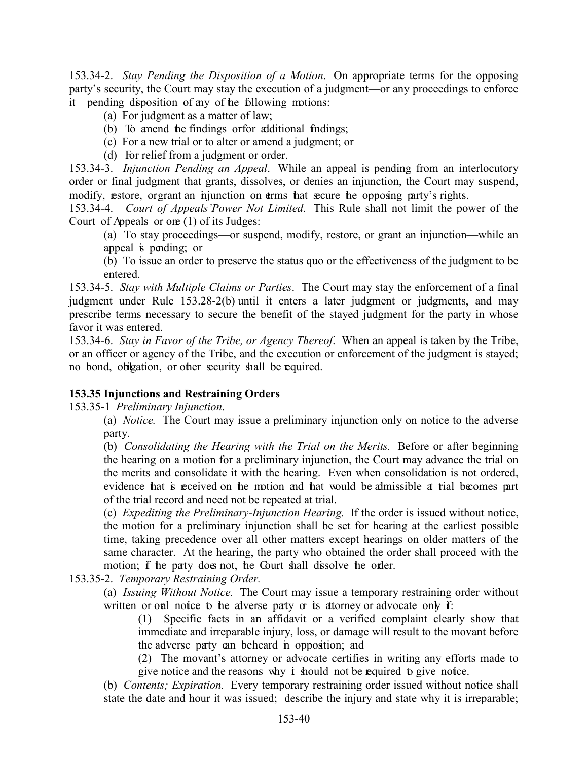153.34-2. *Stay Pending the Disposition of a Motion*. On appropriate terms for the opposing party's security, the Court may stay the execution of a judgment—or any proceedings to enforce it—pending disposition of any of the following motions:

- (a) For judgment as a matter of law;
- (b) To amend the findings or for additional findings;
- (c) For a new trial or to alter or amend a judgment; or
- (d) For relief from a judgment or order.

153.34-3. *Injunction Pending an Appeal*. While an appeal is pending from an interlocutory order or final judgment that grants, dissolves, or denies an injunction, the Court may suspend, modify, estore, orgrant an injunction on terms hat secure he opposing party's rights.

153.34-4. *Court of Appeals'Power Not Limited*. This Rule shall not limit the power of the Court of Appeals or one (1) of its Judges:

(a) To stay proceedings—or suspend, modify, restore, or grant an injunction—while an appeal is pending; or

<span id="page-40-0"></span>(b) To issue an order to preserve the status quo or the effectiveness of the judgment to be entered.

153.34-5. *Stay with Multiple Claims or Parties*. The Court may stay the enforcement of a final judgment under Rule 153.28-2(b) until it enters a later judgment or judgments, and may prescribe terms necessary to secure the benefit of the stayed judgment for the party in whose favor it was entered.

153.34-6. *Stay in Favor of the Tribe, or Agency Thereof*. When an appeal is taken by the Tribe, or an officer or agency of the Tribe, and the execution or enforcement of the judgment is stayed; no bond, obligation, or other security shall be required.

# **153.35 Injunctions and Restraining Orders**

153.35-1 *Preliminary Injunction*.

(a) *Notice.* The Court may issue a preliminary injunction only on notice to the adverse party.

(b) *Consolidating the Hearing with the Trial on the Merits.* Before or after beginning the hearing on a motion for a preliminary injunction, the Court may advance the trial on the merits and consolidate it with the hearing. Even when consolidation is not ordered, evidence that is received on the motion and that would be admissible at trial becomes part of the trial record and need not be repeated at trial.

(c) *Expediting the Preliminary-Injunction Hearing.* If the order is issued without notice, the motion for a preliminary injunction shall be set for hearing at the earliest possible time, taking precedence over all other matters except hearings on older matters of the same character. At the hearing, the party who obtained the order shall proceed with the motion; if the party does not, the Court shall dissolve the order.

153.35-2. *Temporary Restraining Order.* 

(a) *Issuing Without Notice.* The Court may issue a temporary restraining order without written or oral notice to the adverse party  $\alpha$  is attorney or advocate only  $\mathbf{f}$ :

(1) Specific facts in an affidavit or a verified complaint clearly show that immediate and irreparable injury, loss, or damage will result to the movant before the adverse party can be heard in opposition; and

(2) The movant's attorney or advocate certifies in writing any efforts made to give notice and the reasons why  $\dot{\mathbf{t}}$  should not be required to give notice.

(b) *Contents; Expiration.* Every temporary restraining order issued without notice shall state the date and hour it was issued; describe the injury and state why it is irreparable;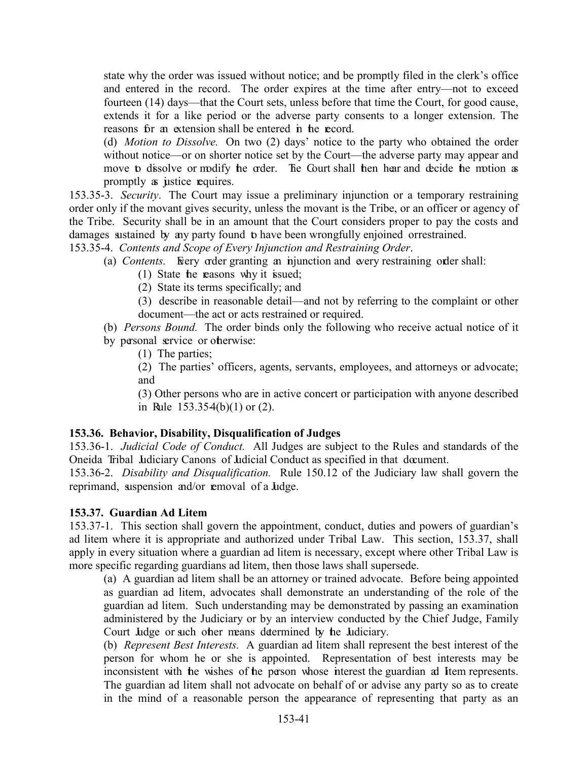state why the order was issued without notice; and be promptly filed in the clerk's office and entered in the record. The order expires at the time after entry—not to exceed fourteen (14) days—that the Court sets, unless before that time the Court, for good cause, extends it for a like period or the adverse party consents to a longer extension. The reasons for an extension shall be entered in the record.

(d) *Motion to Dissolve.* On two (2) days' notice to the party who obtained the order without notice—or on shorter notice set by the Court—the adverse party may appear and move to dissolve or modify the order. The Court shall then hear and decide the motion as promptly as justice requires.

153.35-3. *Security*. The Court may issue a preliminary injunction or a temporary restraining order only if the movant gives security, unless the movant is the Tribe, or an officer or agency of the Tribe. Security shall be in an amount that the Court considers proper to pay the costs and damages sustained by any party found to have been wrongfully enjoined orrestrained.

153.35-4. *Contents and Scope of Every Injunction and Restraining Order*.

- (a) *Contents*. Freely order granting an injunction and every restraining order shall:
	- (1) State the reasons why it issued;
	- (2) State its terms specifically; and
	- (3) describe in reasonable detail—and not by referring to the complaint or other document—the act or acts restrained or required.
- (b) *Persons Bound.* The order binds only the following who receive actual notice of it by personal service or otherwise:

(1) The parties;

(2) The parties' officers, agents, servants, employees, and attorneys or advocate; and

(3) Other persons who are in active concert or participation with anyone described in Rule  $153.354(b)(1)$  or  $(2)$ .

#### <span id="page-41-0"></span>**153.36. Behavior, Disability, Disqualification of Judges**

153.36-1. *Judicial Code of Conduct.* All Judges are subject to the Rules and standards of the Oneida Tribal Judiciary Canons of Judicial Conduct as specified in that document.

153.36-2. *Disability and Disqualification.* Rule 150.12 of the Judiciary law shall govern the reprimand, suspension and/or removal of a Judge.

#### <span id="page-41-1"></span>**153.37. Guardian Ad Litem**

153.37-1. This section shall govern the appointment, conduct, duties and powers of guardian's ad litem where it is appropriate and authorized under Tribal Law. This section, 153.37, shall apply in every situation where a guardian ad litem is necessary, except where other Tribal Law is more specific regarding guardians ad litem, then those laws shall supersede.

(a) A guardian ad litem shall be an attorney or trained advocate. Before being appointed as guardian ad litem, advocates shall demonstrate an understanding of the role of the guardian ad litem. Such understanding may be demonstrated by passing an examination administered by the Judiciary or by an interview conducted by the Chief Judge, Family Court Judge or such other means determined by the Judiciary.

(b) *Represent Best Interests.* A guardian ad litem shall represent the best interest of the person for whom he or she is appointed. Representation of best interests may be inconsistent with the wishes of the person whose interest the guardian ad Item represents. The guardian ad litem shall not advocate on behalf of or advise any party so as to create in the mind of a reasonable person the appearance of representing that party as an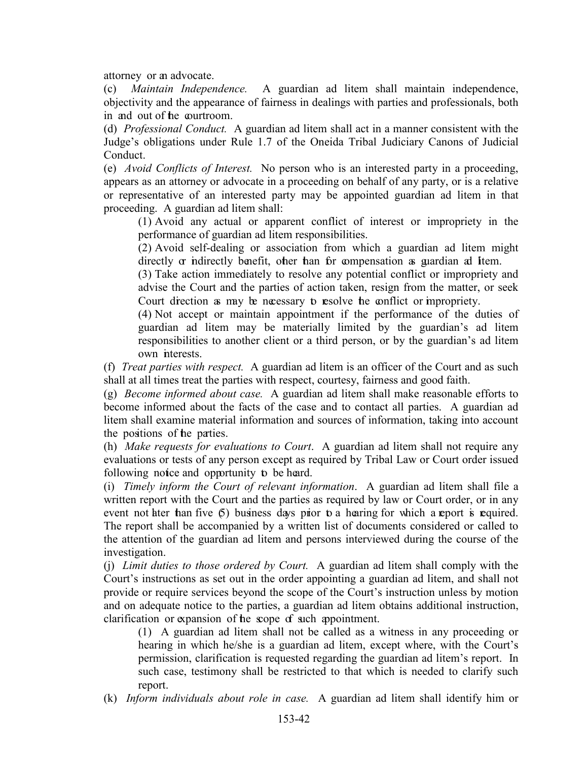attorney or an advocate.

(c) *Maintain Independence.* A guardian ad litem shall maintain independence, objectivity and the appearance of fairness in dealings with parties and professionals, both in and out of the courtroom.

(d) *Professional Conduct.* A guardian ad litem shall act in a manner consistent with the Judge's obligations under Rule 1.7 of the Oneida Tribal Judiciary Canons of Judicial Conduct.

(e) *Avoid Conflicts of Interest.* No person who is an interested party in a proceeding, appears as an attorney or advocate in a proceeding on behalf of any party, or is a relative or representative of an interested party may be appointed guardian ad litem in that proceeding. A guardian ad litem shall:

(1) Avoid any actual or apparent conflict of interest or impropriety in the performance of guardian ad litem responsibilities.

(2) Avoid self-dealing or association from which a guardian ad litem might directly or indirectly benefit, other than for compensation as guardian ad Item.

(3) Take action immediately to resolve any potential conflict or impropriety and advise the Court and the parties of action taken, resign from the matter, or seek Court direction as may be necessary to resolve the conflict or impropriety.

(4) Not accept or maintain appointment if the performance of the duties of guardian ad litem may be materially limited by the guardian's ad litem responsibilities to another client or a third person, or by the guardian's ad litem own interests.

(f) *Treat parties with respect.* A guardian ad litem is an officer of the Court and as such shall at all times treat the parties with respect, courtesy, fairness and good faith.

(g) *Become informed about case.* A guardian ad litem shall make reasonable efforts to become informed about the facts of the case and to contact all parties. A guardian ad litem shall examine material information and sources of information, taking into account the positions of the parties.

(h) *Make requests for evaluations to Court*. A guardian ad litem shall not require any evaluations or tests of any person except as required by Tribal Law or Court order issued following notice and opportunity to be heard.

(i) *Timely inform the Court of relevant information*. A guardian ad litem shall file a written report with the Court and the parties as required by law or Court order, or in any event not later than five  $(5)$  business days prior to a hearing for which a report is required. The report shall be accompanied by a written list of documents considered or called to the attention of the guardian ad litem and persons interviewed during the course of the investigation.

(j) *Limit duties to those ordered by Court.* A guardian ad litem shall comply with the Court's instructions as set out in the order appointing a guardian ad litem, and shall not provide or require services beyond the scope of the Court's instruction unless by motion and on adequate notice to the parties, a guardian ad litem obtains additional instruction, clarification or expansion of the scope of such appointment.

(1) A guardian ad litem shall not be called as a witness in any proceeding or hearing in which he/she is a guardian ad litem, except where, with the Court's permission, clarification is requested regarding the guardian ad litem's report. In such case, testimony shall be restricted to that which is needed to clarify such report.

(k) *Inform individuals about role in case.* A guardian ad litem shall identify him or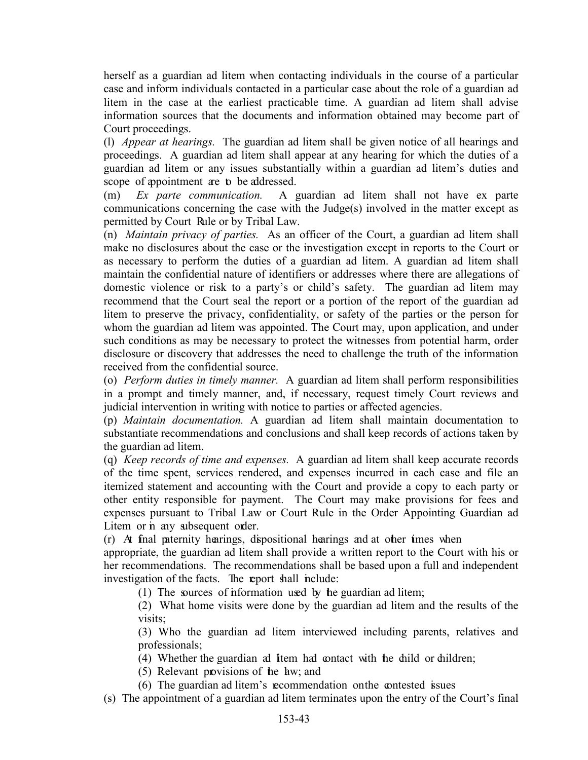herself as a guardian ad litem when contacting individuals in the course of a particular case and inform individuals contacted in a particular case about the role of a guardian ad litem in the case at the earliest practicable time. A guardian ad litem shall advise information sources that the documents and information obtained may become part of Court proceedings.

(l) *Appear at hearings.* The guardian ad litem shall be given notice of all hearings and proceedings. A guardian ad litem shall appear at any hearing for which the duties of a guardian ad litem or any issues substantially within a guardian ad litem's duties and scope of appointment are to be addressed.

(m) *Ex parte communication.* A guardian ad litem shall not have ex parte communications concerning the case with the Judge(s) involved in the matter except as permitted by Court Rule or by Tribal Law.

(n) *Maintain privacy of parties.* As an officer of the Court, a guardian ad litem shall make no disclosures about the case or the investigation except in reports to the Court or as necessary to perform the duties of a guardian ad litem. A guardian ad litem shall maintain the confidential nature of identifiers or addresses where there are allegations of domestic violence or risk to a party's or child's safety. The guardian ad litem may recommend that the Court seal the report or a portion of the report of the guardian ad litem to preserve the privacy, confidentiality, or safety of the parties or the person for whom the guardian ad litem was appointed. The Court may, upon application, and under such conditions as may be necessary to protect the witnesses from potential harm, order disclosure or discovery that addresses the need to challenge the truth of the information received from the confidential source.

(o) *Perform duties in timely manner.* A guardian ad litem shall perform responsibilities in a prompt and timely manner, and, if necessary, request timely Court reviews and judicial intervention in writing with notice to parties or affected agencies.

(p) *Maintain documentation.* A guardian ad litem shall maintain documentation to substantiate recommendations and conclusions and shall keep records of actions taken by the guardian ad litem.

(q) *Keep records of time and expenses.* A guardian ad litem shall keep accurate records of the time spent, services rendered, and expenses incurred in each case and file an itemized statement and accounting with the Court and provide a copy to each party or other entity responsible for payment. The Court may make provisions for fees and expenses pursuant to Tribal Law or Court Rule in the Order Appointing Guardian ad Litem or in any subsequent order.

(r) At final paternity hearings, dispositional hearings and at other times when

appropriate, the guardian ad litem shall provide a written report to the Court with his or her recommendations. The recommendations shall be based upon a full and independent investigation of the facts. The report shall include:

(1) The sources of information used by the guardian ad litem;

(2) What home visits were done by the guardian ad litem and the results of the visits;

(3) Who the guardian ad litem interviewed including parents, relatives and professionals;

(4) Whether the guardian ad Item had contact with the child or children;

(5) Relevant provisions of the law; and

(6) The guardian ad litem's recommendation on the contested issues

(s) The appointment of a guardian ad litem terminates upon the entry of the Court's final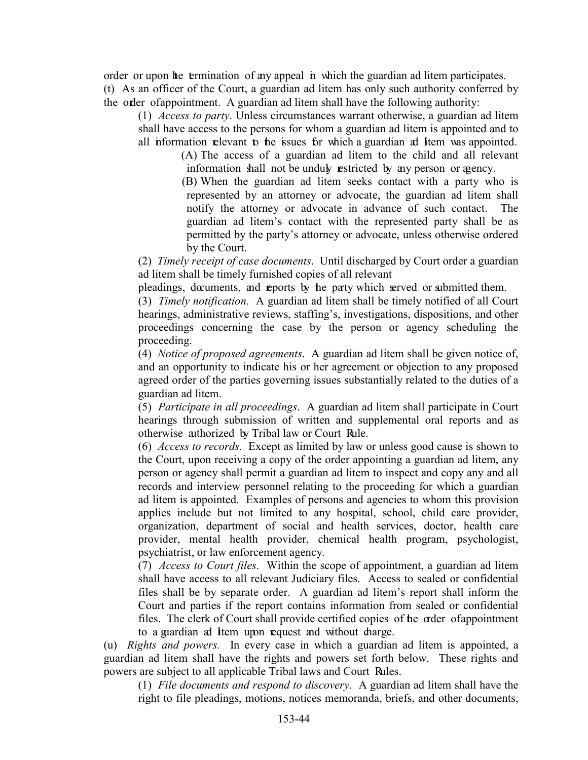order or upon the termination of any appeal in which the guardian ad litem participates. (t) As an officer of the Court, a guardian ad litem has only such authority conferred by the order of appointment. A guardian ad litem shall have the following authority:

(1) *Access to party*. Unless circumstances warrant otherwise, a guardian ad litem shall have access to the persons for whom a guardian ad litem is appointed and to all information relevant to the issues for which a guardian ad Item was appointed.

(A) The access of a guardian ad litem to the child and all relevant information shall not be unduly restricted by any person or agency.

(B) When the guardian ad litem seeks contact with a party who is represented by an attorney or advocate, the guardian ad litem shall notify the attorney or advocate in advance of such contact. The guardian ad litem's contact with the represented party shall be as permitted by the party's attorney or advocate, unless otherwise ordered by the Court.

(2) *Timely receipt of case documents*. Until discharged by Court order a guardian ad litem shall be timely furnished copies of all relevant

pleadings, documents, and reports by the party which served or submitted them.

(3) *Timely notification*. A guardian ad litem shall be timely notified of all Court hearings, administrative reviews, staffing's, investigations, dispositions, and other proceedings concerning the case by the person or agency scheduling the proceeding.

(4) *Notice of proposed agreements*. A guardian ad litem shall be given notice of, and an opportunity to indicate his or her agreement or objection to any proposed agreed order of the parties governing issues substantially related to the duties of a guardian ad litem.

(5) *Participate in all proceedings*. A guardian ad litem shall participate in Court hearings through submission of written and supplemental oral reports and as otherwise authorized by Tribal law or Court Rule.

(6) *Access to records.* Except as limited by law or unless good cause is shown to the Court, upon receiving a copy of the order appointing a guardian ad litem, any person or agency shall permit a guardian ad litem to inspect and copy any and all records and interview personnel relating to the proceeding for which a guardian ad litem is appointed. Examples of persons and agencies to whom this provision applies include but not limited to any hospital, school, child care provider, organization, department of social and health services, doctor, health care provider, mental health provider, chemical health program, psychologist, psychiatrist, or law enforcement agency.

(7) *Access to Court files*. Within the scope of appointment, a guardian ad litem shall have access to all relevant Judiciary files. Access to sealed or confidential files shall be by separate order. A guardian ad litem's report shall inform the Court and parties if the report contains information from sealed or confidential files. The clerk of Court shall provide certified copies of the order of appointment to a guardian ad Item upon request and without charge.

(u) *Rights and powers.* In every case in which a guardian ad litem is appointed, a guardian ad litem shall have the rights and powers set forth below. These rights and powers are subject to all applicable Tribal laws and Court Rules.

(1) *File documents and respond to discovery*. A guardian ad litem shall have the right to file pleadings, motions, notices memoranda, briefs, and other documents,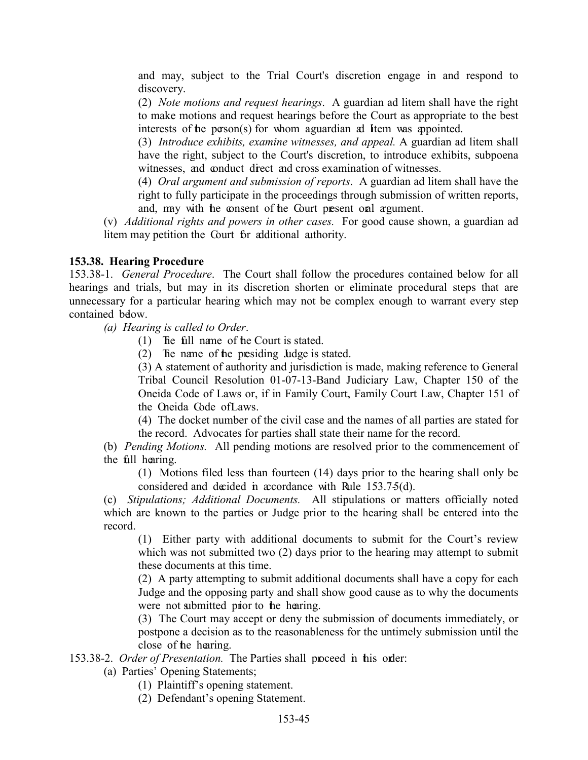and may, subject to the Trial Court's discretion engage in and respond to discovery.

(2) *Note motions and request hearings*. A guardian ad litem shall have the right to make motions and request hearings before the Court as appropriate to the best interests of the person(s) for whom a guardian ad Item was appointed.

(3) *Introduce exhibits, examine witnesses, and appeal.* A guardian ad litem shall have the right, subject to the Court's discretion, to introduce exhibits, subpoena witnesses, and conduct direct and cross examination of witnesses.

(4) *Oral argument and submission of reports*. A guardian ad litem shall have the right to fully participate in the proceedings through submission of written reports, and, may with the consent of the Court present oral argument.

(v) *Additional rights and powers in other cases.* For good cause shown, a guardian ad litem may petition the Court for additional authority.

#### <span id="page-45-0"></span>**153.38. Hearing Procedure**

153.38-1. *General Procedure*. The Court shall follow the procedures contained below for all hearings and trials, but may in its discretion shorten or eliminate procedural steps that are unnecessary for a particular hearing which may not be complex enough to warrant every step contained below.

 *(a) Hearing is called to Order*.

- (1) The full name of the Court is stated.
- (2) The name of the presiding Judge is stated.

(3) A statement of authority and jurisdiction is made, making reference to General Tribal Council Resolution 01-07-13-Band Judiciary Law, Chapter 150 of the Oneida Code of Laws or, if in Family Court, Family Court Law, Chapter 151 of the Oneida Code of Laws.

(4) The docket number of the civil case and the names of all parties are stated for the record. Advocates for parties shall state their name for the record.

(b) *Pending Motions.* All pending motions are resolved prior to the commencement of the full hearing.

(1) Motions filed less than fourteen (14) days prior to the hearing shall only be considered and decided in accordance with Rule 153.7-5(d).

(c) *Stipulations; Additional Documents.* All stipulations or matters officially noted which are known to the parties or Judge prior to the hearing shall be entered into the record.

(1) Either party with additional documents to submit for the Court's review which was not submitted two (2) days prior to the hearing may attempt to submit these documents at this time.

(2) A party attempting to submit additional documents shall have a copy for each Judge and the opposing party and shall show good cause as to why the documents were not submitted prior to the hearing.

(3) The Court may accept or deny the submission of documents immediately, or postpone a decision as to the reasonableness for the untimely submission until the close of the hearing.

153.38-2. *Order of Presentation*. The Parties shall proceed in this order:

(a) Parties' Opening Statements;

- (1) Plaintiff's opening statement.
- (2) Defendant's opening Statement.